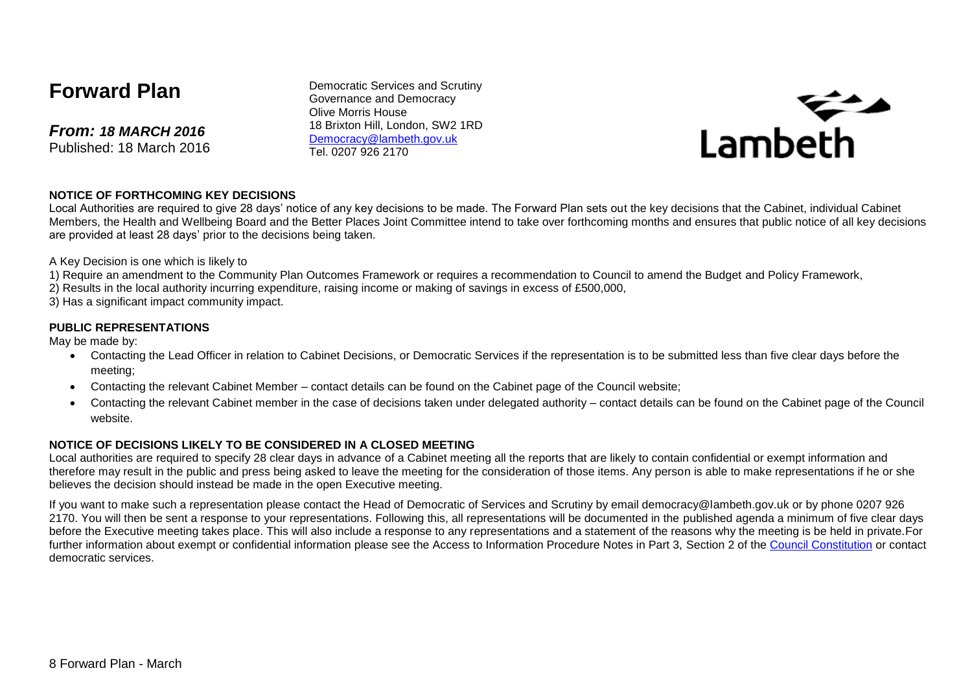# **Forward Plan**

*From: 18 MARCH 2016* Published: 18 March 2016

Democratic Services and Scrutiny Governance and Democracy Olive Morris House 18 Brixton Hill, London, SW2 1RD [Democracy@lambeth.gov.uk](mailto:Democracy@lambeth.gov.uk) Tel. 0207 926 2170



#### **NOTICE OF FORTHCOMING KEY DECISIONS**

Local Authorities are required to give 28 days' notice of any key decisions to be made. The Forward Plan sets out the key decisions that the Cabinet, individual Cabinet Members, the Health and Wellbeing Board and the Better Places Joint Committee intend to take over forthcoming months and ensures that public notice of all key decisions are provided at least 28 days' prior to the decisions being taken.

A Key Decision is one which is likely to

- 1) Require an amendment to the Community Plan Outcomes Framework or requires a recommendation to Council to amend the Budget and Policy Framework,
- 2) Results in the local authority incurring expenditure, raising income or making of savings in excess of £500,000,
- 3) Has a significant impact community impact.

#### **PUBLIC REPRESENTATIONS**

May be made by:

- Contacting the Lead Officer in relation to Cabinet Decisions, or Democratic Services if the representation is to be submitted less than five clear days before the meeting;
- Contacting the relevant Cabinet Member contact details can be found on the Cabinet page of the Council website;
- Contacting the relevant Cabinet member in the case of decisions taken under delegated authority contact details can be found on the Cabinet page of the Council website.

#### **NOTICE OF DECISIONS LIKELY TO BE CONSIDERED IN A CLOSED MEETING**

Local authorities are required to specify 28 clear days in advance of a Cabinet meeting all the reports that are likely to contain confidential or exempt information and therefore may result in the public and press being asked to leave the meeting for the consideration of those items. Any person is able to make representations if he or she believes the decision should instead be made in the open Executive meeting.

If you want to make such a representation please contact the Head of Democratic of Services and Scrutiny by email democracy@lambeth.gov.uk or by phone 0207 926 2170. You will then be sent a response to your representations. Following this, all representations will be documented in the published agenda a minimum of five clear days before the Executive meeting takes place. This will also include a response to any representations and a statement of the reasons why the meeting is be held in private.For further information about exempt or confidential information please see the Access to Information Procedure Notes in Part 3, Section 2 of the [Council Constitution](http://www.lambeth.gov.uk/sites/default/files/ec-Council-Constitution-2014-15-approved-with-changes-November-2014.pdf) or contact democratic services.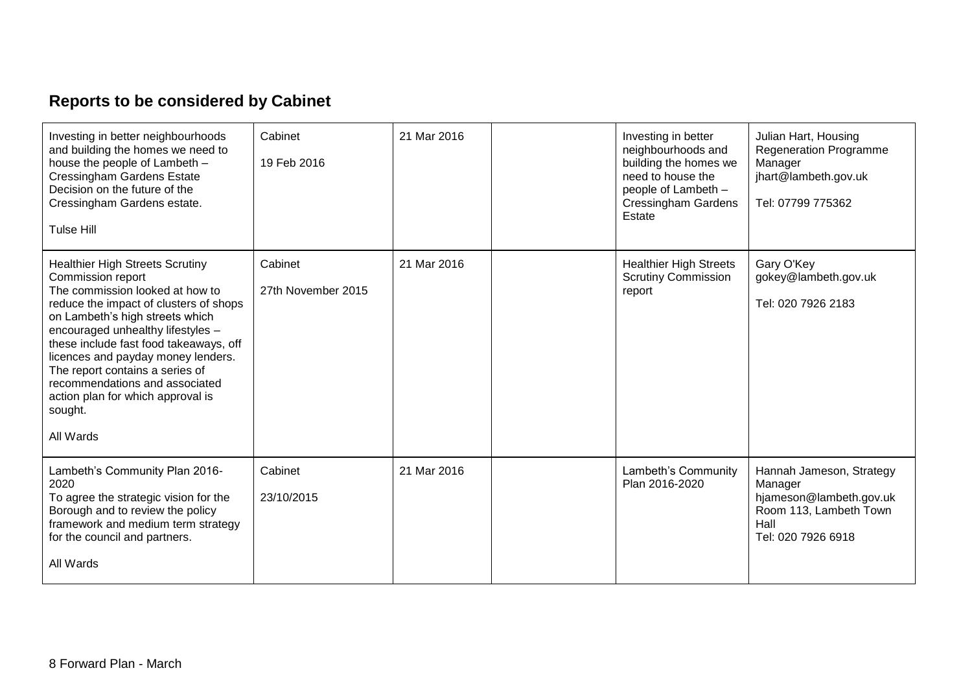# **Reports to be considered by Cabinet**

| Investing in better neighbourhoods<br>and building the homes we need to<br>house the people of Lambeth -<br><b>Cressingham Gardens Estate</b><br>Decision on the future of the<br>Cressingham Gardens estate.<br><b>Tulse Hill</b>                                                                                                                                                                                                 | Cabinet<br>19 Feb 2016        | 21 Mar 2016 | Investing in better<br>neighbourhoods and<br>building the homes we<br>need to house the<br>people of Lambeth -<br><b>Cressingham Gardens</b><br>Estate | Julian Hart, Housing<br><b>Regeneration Programme</b><br>Manager<br>jhart@lambeth.gov.uk<br>Tel: 07799 775362          |
|------------------------------------------------------------------------------------------------------------------------------------------------------------------------------------------------------------------------------------------------------------------------------------------------------------------------------------------------------------------------------------------------------------------------------------|-------------------------------|-------------|--------------------------------------------------------------------------------------------------------------------------------------------------------|------------------------------------------------------------------------------------------------------------------------|
| <b>Healthier High Streets Scrutiny</b><br>Commission report<br>The commission looked at how to<br>reduce the impact of clusters of shops<br>on Lambeth's high streets which<br>encouraged unhealthy lifestyles -<br>these include fast food takeaways, off<br>licences and payday money lenders.<br>The report contains a series of<br>recommendations and associated<br>action plan for which approval is<br>sought.<br>All Wards | Cabinet<br>27th November 2015 | 21 Mar 2016 | <b>Healthier High Streets</b><br><b>Scrutiny Commission</b><br>report                                                                                  | Gary O'Key<br>gokey@lambeth.gov.uk<br>Tel: 020 7926 2183                                                               |
| Lambeth's Community Plan 2016-<br>2020<br>To agree the strategic vision for the<br>Borough and to review the policy<br>framework and medium term strategy<br>for the council and partners.<br>All Wards                                                                                                                                                                                                                            | Cabinet<br>23/10/2015         | 21 Mar 2016 | Lambeth's Community<br>Plan 2016-2020                                                                                                                  | Hannah Jameson, Strategy<br>Manager<br>hjameson@lambeth.gov.uk<br>Room 113, Lambeth Town<br>Hall<br>Tel: 020 7926 6918 |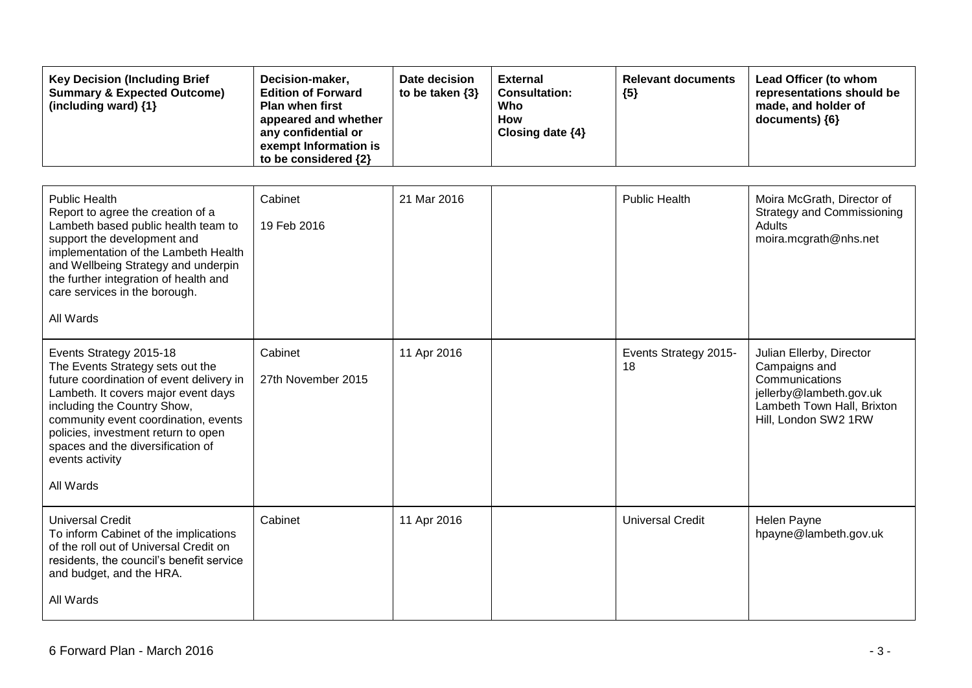| <b>Key Decision (Including Brief</b><br><b>Summary &amp; Expected Outcome)</b><br>(including ward) {1}                                                                                                                                                                                                                            | Decision-maker,<br><b>Edition of Forward</b><br><b>Plan when first</b><br>appeared and whether<br>any confidential or<br>exempt Information is<br>to be considered {2} | Date decision<br>to be taken {3} | <b>External</b><br><b>Consultation:</b><br>Who<br>How<br>Closing date {4} | <b>Relevant documents</b><br>${5}$ | Lead Officer (to whom<br>representations should be<br>made, and holder of<br>documents) {6}                                                  |
|-----------------------------------------------------------------------------------------------------------------------------------------------------------------------------------------------------------------------------------------------------------------------------------------------------------------------------------|------------------------------------------------------------------------------------------------------------------------------------------------------------------------|----------------------------------|---------------------------------------------------------------------------|------------------------------------|----------------------------------------------------------------------------------------------------------------------------------------------|
| <b>Public Health</b><br>Report to agree the creation of a<br>Lambeth based public health team to<br>support the development and<br>implementation of the Lambeth Health<br>and Wellbeing Strategy and underpin<br>the further integration of health and<br>care services in the borough.<br>All Wards                             | Cabinet<br>19 Feb 2016                                                                                                                                                 | 21 Mar 2016                      |                                                                           | <b>Public Health</b>               | Moira McGrath, Director of<br><b>Strategy and Commissioning</b><br>Adults<br>moira.mcgrath@nhs.net                                           |
| Events Strategy 2015-18<br>The Events Strategy sets out the<br>future coordination of event delivery in<br>Lambeth. It covers major event days<br>including the Country Show,<br>community event coordination, events<br>policies, investment return to open<br>spaces and the diversification of<br>events activity<br>All Wards | Cabinet<br>27th November 2015                                                                                                                                          | 11 Apr 2016                      |                                                                           | Events Strategy 2015-<br>18        | Julian Ellerby, Director<br>Campaigns and<br>Communications<br>jellerby@lambeth.gov.uk<br>Lambeth Town Hall, Brixton<br>Hill, London SW2 1RW |
| <b>Universal Credit</b><br>To inform Cabinet of the implications<br>of the roll out of Universal Credit on<br>residents, the council's benefit service<br>and budget, and the HRA.<br>All Wards                                                                                                                                   | Cabinet                                                                                                                                                                | 11 Apr 2016                      |                                                                           | <b>Universal Credit</b>            | Helen Payne<br>hpayne@lambeth.gov.uk                                                                                                         |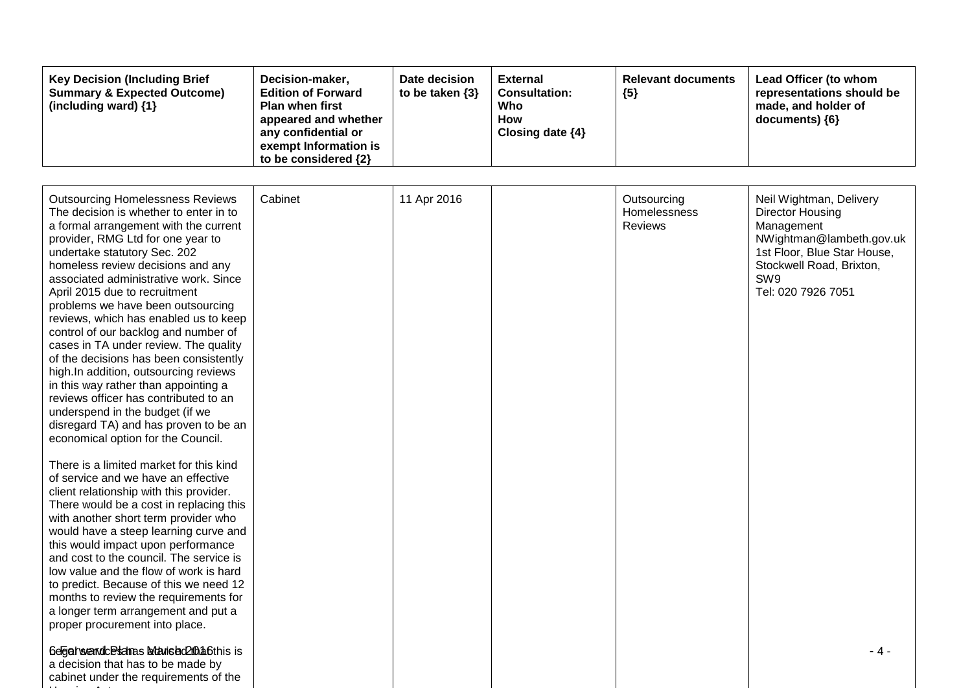| <b>Key Decision (Including Brief</b><br>Decision-maker,<br><b>Summary &amp; Expected Outcome)</b><br><b>Edition of Forward</b><br>(including ward) $\{1\}$<br><b>Plan when first</b><br>appeared and whether<br>any confidential or<br>exempt Information is<br>to be considered $\{2\}$ | Date decision<br>External<br>to be taken $\{3\}$<br><b>Consultation:</b><br>Who<br><b>How</b><br>Closing date $\{4\}$ | <b>Relevant documents</b><br>${5}$ | Lead Officer (to whom<br>representations should be<br>made, and holder of<br>$documents)$ {6} |
|------------------------------------------------------------------------------------------------------------------------------------------------------------------------------------------------------------------------------------------------------------------------------------------|-----------------------------------------------------------------------------------------------------------------------|------------------------------------|-----------------------------------------------------------------------------------------------|
|------------------------------------------------------------------------------------------------------------------------------------------------------------------------------------------------------------------------------------------------------------------------------------------|-----------------------------------------------------------------------------------------------------------------------|------------------------------------|-----------------------------------------------------------------------------------------------|

| <b>Outsourcing Homelessness Reviews</b><br>The decision is whether to enter in to<br>a formal arrangement with the current<br>provider, RMG Ltd for one year to<br>undertake statutory Sec. 202<br>homeless review decisions and any<br>associated administrative work. Since<br>April 2015 due to recruitment<br>problems we have been outsourcing<br>reviews, which has enabled us to keep<br>control of our backlog and number of<br>cases in TA under review. The quality<br>of the decisions has been consistently<br>high.In addition, outsourcing reviews<br>in this way rather than appointing a<br>reviews officer has contributed to an<br>underspend in the budget (if we<br>disregard TA) and has proven to be an<br>economical option for the Council. | Cabinet | 11 Apr 2016 | Outsourcing<br>Homelessness<br>Reviews | Neil Wightman, Delivery<br>Director Housing<br>Management<br>NWightman@lambeth.gov.uk<br>1st Floor, Blue Star House,<br>Stockwell Road, Brixton,<br>SW9<br>Tel: 020 7926 7051 |
|---------------------------------------------------------------------------------------------------------------------------------------------------------------------------------------------------------------------------------------------------------------------------------------------------------------------------------------------------------------------------------------------------------------------------------------------------------------------------------------------------------------------------------------------------------------------------------------------------------------------------------------------------------------------------------------------------------------------------------------------------------------------|---------|-------------|----------------------------------------|-------------------------------------------------------------------------------------------------------------------------------------------------------------------------------|
| There is a limited market for this kind<br>of service and we have an effective<br>client relationship with this provider.<br>There would be a cost in replacing this<br>with another short term provider who<br>would have a steep learning curve and<br>this would impact upon performance<br>and cost to the council. The service is<br>low value and the flow of work is hard<br>to predict. Because of this we need 12<br>months to review the requirements for<br>a longer term arrangement and put a<br>proper procurement into place.                                                                                                                                                                                                                        |         |             |                                        |                                                                                                                                                                               |
| 6egat wendcesdras blanded 200 a6this is<br>a decision that has to be made by<br>cabinet under the requirements of the                                                                                                                                                                                                                                                                                                                                                                                                                                                                                                                                                                                                                                               |         |             |                                        | - 4 -                                                                                                                                                                         |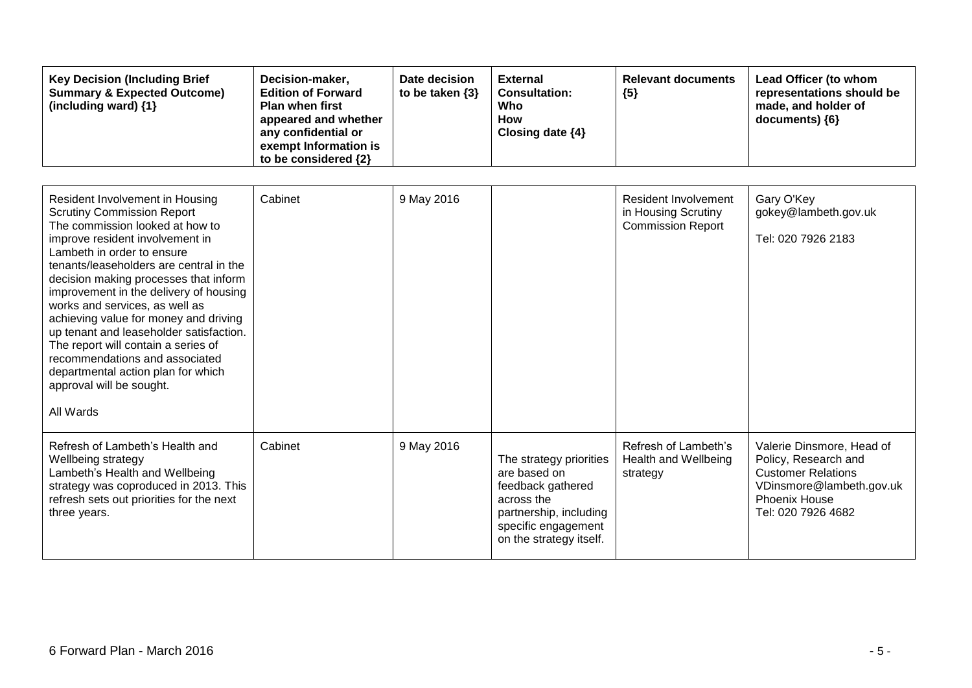| <b>Key Decision (Including Brief</b><br><b>Summary &amp; Expected Outcome)</b><br>(including ward) $\{1\}$ | Decision-maker,<br><b>Edition of Forward</b><br><b>Plan when first</b><br>appeared and whether<br>any confidential or<br>exempt Information is<br>to be considered $\{2\}$ | Date decision<br>to be taken $\{3\}$ | <b>External</b><br><b>Consultation:</b><br>Who<br>How<br>Closing date $\{4\}$ | <b>Relevant documents</b><br>${5}$ | Lead Officer (to whom<br>representations should be<br>made, and holder of<br>$documents)$ {6} |
|------------------------------------------------------------------------------------------------------------|----------------------------------------------------------------------------------------------------------------------------------------------------------------------------|--------------------------------------|-------------------------------------------------------------------------------|------------------------------------|-----------------------------------------------------------------------------------------------|
|------------------------------------------------------------------------------------------------------------|----------------------------------------------------------------------------------------------------------------------------------------------------------------------------|--------------------------------------|-------------------------------------------------------------------------------|------------------------------------|-----------------------------------------------------------------------------------------------|

| Resident Involvement in Housing<br><b>Scrutiny Commission Report</b><br>The commission looked at how to<br>improve resident involvement in<br>Lambeth in order to ensure<br>tenants/leaseholders are central in the<br>decision making processes that inform<br>improvement in the delivery of housing<br>works and services, as well as<br>achieving value for money and driving<br>up tenant and leaseholder satisfaction.<br>The report will contain a series of<br>recommendations and associated<br>departmental action plan for which<br>approval will be sought.<br>All Wards | Cabinet | 9 May 2016 |                                                                                                                                                        | Resident Involvement<br>in Housing Scrutiny<br><b>Commission Report</b> | Gary O'Key<br>gokey@lambeth.gov.uk<br>Tel: 020 7926 2183                                                                                                 |
|--------------------------------------------------------------------------------------------------------------------------------------------------------------------------------------------------------------------------------------------------------------------------------------------------------------------------------------------------------------------------------------------------------------------------------------------------------------------------------------------------------------------------------------------------------------------------------------|---------|------------|--------------------------------------------------------------------------------------------------------------------------------------------------------|-------------------------------------------------------------------------|----------------------------------------------------------------------------------------------------------------------------------------------------------|
| Refresh of Lambeth's Health and<br>Wellbeing strategy<br>Lambeth's Health and Wellbeing<br>strategy was coproduced in 2013. This<br>refresh sets out priorities for the next<br>three years.                                                                                                                                                                                                                                                                                                                                                                                         | Cabinet | 9 May 2016 | The strategy priorities<br>are based on<br>feedback gathered<br>across the<br>partnership, including<br>specific engagement<br>on the strategy itself. | Refresh of Lambeth's<br>Health and Wellbeing<br>strategy                | Valerie Dinsmore, Head of<br>Policy, Research and<br><b>Customer Relations</b><br>VDinsmore@lambeth.gov.uk<br><b>Phoenix House</b><br>Tel: 020 7926 4682 |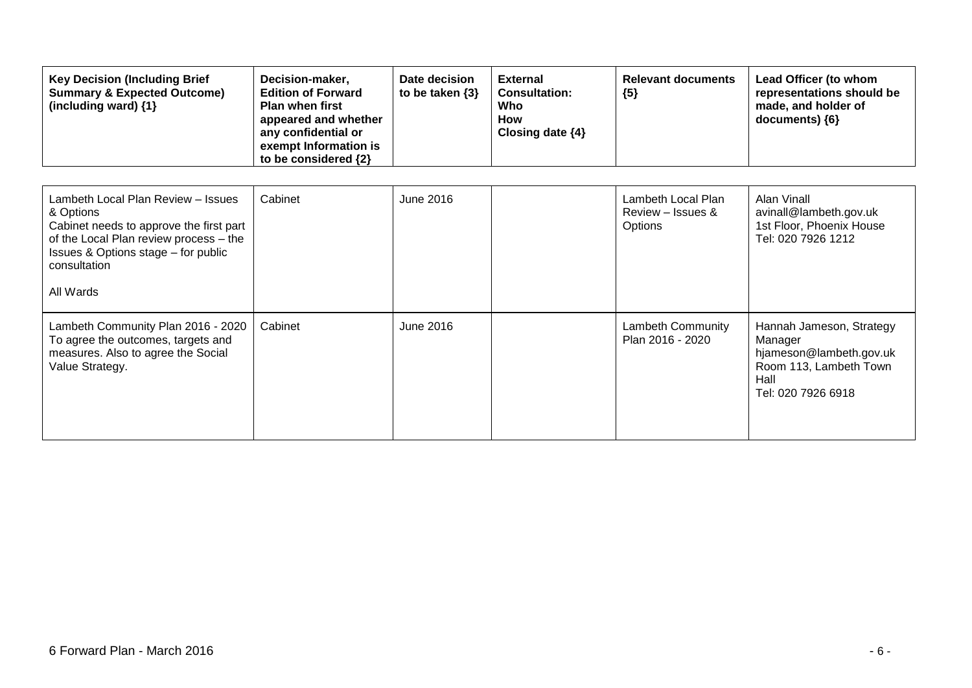| <b>Key Decision (Including Brief</b><br><b>Summary &amp; Expected Outcome)</b><br>(including ward) {1}                                                                                                   | Decision-maker,<br><b>Edition of Forward</b><br><b>Plan when first</b><br>appeared and whether<br>any confidential or<br>exempt Information is<br>to be considered {2} | Date decision<br>to be taken $\{3\}$ | <b>External</b><br><b>Consultation:</b><br>Who<br><b>How</b><br>Closing date $\{4\}$ | <b>Relevant documents</b><br>${5}$                        | Lead Officer (to whom<br>representations should be<br>made, and holder of<br>documents) ${6}$                          |
|----------------------------------------------------------------------------------------------------------------------------------------------------------------------------------------------------------|------------------------------------------------------------------------------------------------------------------------------------------------------------------------|--------------------------------------|--------------------------------------------------------------------------------------|-----------------------------------------------------------|------------------------------------------------------------------------------------------------------------------------|
| Lambeth Local Plan Review - Issues<br>& Options<br>Cabinet needs to approve the first part<br>of the Local Plan review process - the<br>Issues & Options stage - for public<br>consultation<br>All Wards | Cabinet                                                                                                                                                                | June 2016                            |                                                                                      | Lambeth Local Plan<br>Review – Issues &<br><b>Options</b> | Alan Vinall<br>avinall@lambeth.gov.uk<br>1st Floor, Phoenix House<br>Tel: 020 7926 1212                                |
| Lambeth Community Plan 2016 - 2020<br>To agree the outcomes, targets and<br>measures. Also to agree the Social<br>Value Strategy.                                                                        | Cabinet                                                                                                                                                                | June 2016                            |                                                                                      | <b>Lambeth Community</b><br>Plan 2016 - 2020              | Hannah Jameson, Strategy<br>Manager<br>hjameson@lambeth.gov.uk<br>Room 113, Lambeth Town<br>Hall<br>Tel: 020 7926 6918 |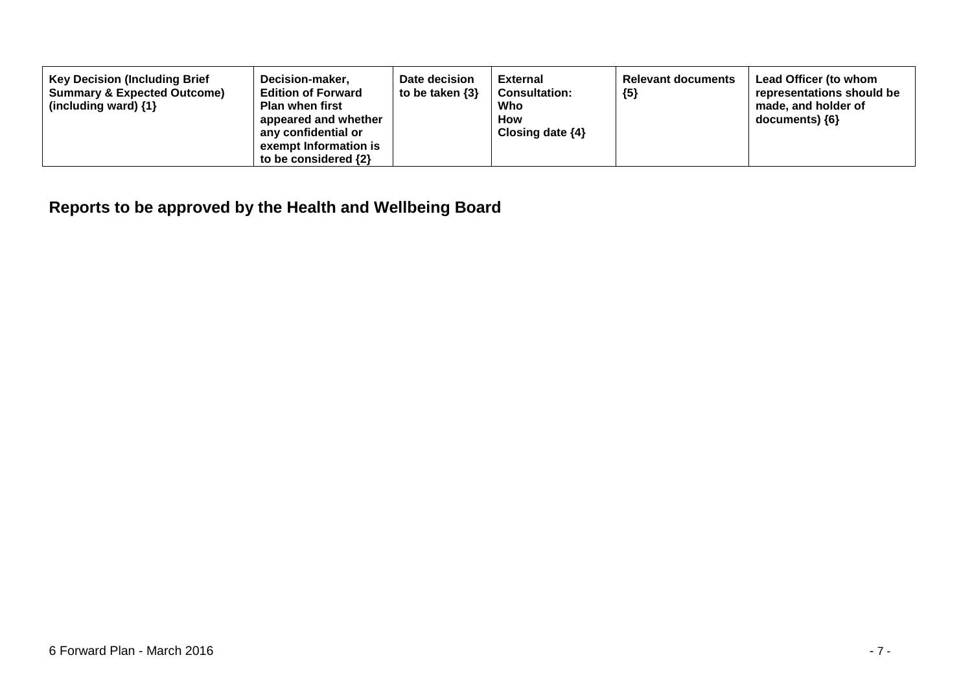| <b>Key Decision (Including Brief</b><br><b>Summary &amp; Expected Outcome)</b><br><b>Plan when first</b><br>(including ward) $\{1\}$ | Date decision<br>Decision-maker,<br>to be taken $\{3\}$<br><b>Edition of Forward</b><br>appeared and whether<br>any confidential or<br>exempt Information is<br>to be considered $\{2\}$ | External<br><b>Consultation:</b><br>Who<br><b>How</b><br>Closing date $\{4\}$ | <b>Relevant documents</b><br>${5}$ | Lead Officer (to whom<br>representations should be<br>made, and holder of<br>$documents)$ {6} |
|--------------------------------------------------------------------------------------------------------------------------------------|------------------------------------------------------------------------------------------------------------------------------------------------------------------------------------------|-------------------------------------------------------------------------------|------------------------------------|-----------------------------------------------------------------------------------------------|
|--------------------------------------------------------------------------------------------------------------------------------------|------------------------------------------------------------------------------------------------------------------------------------------------------------------------------------------|-------------------------------------------------------------------------------|------------------------------------|-----------------------------------------------------------------------------------------------|

## **Reports to be approved by the Health and Wellbeing Board**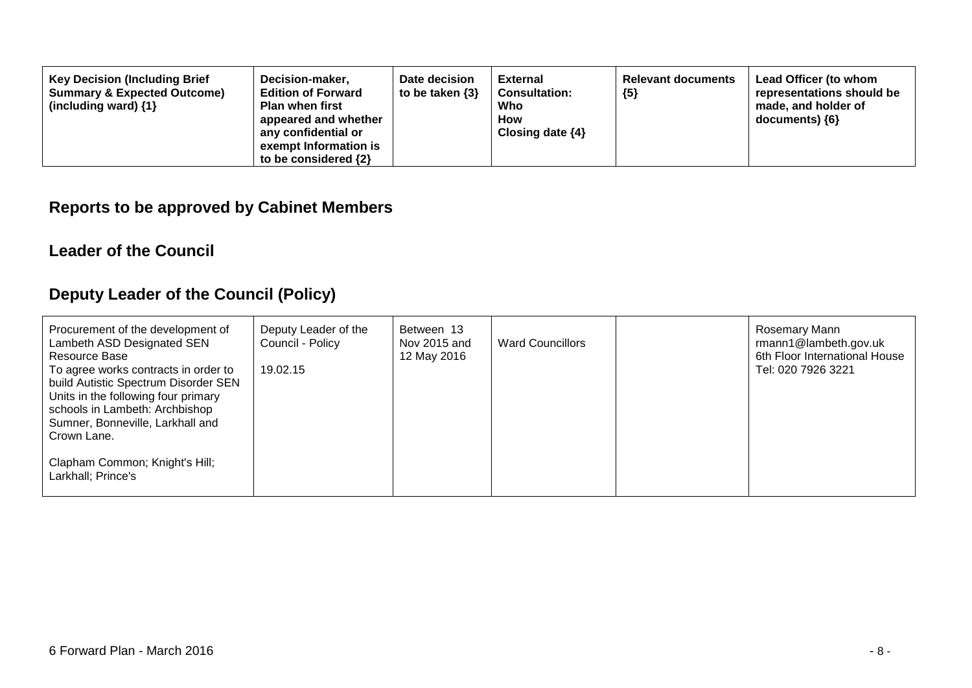| <b>Key Decision (Including Brief</b><br>Decision-maker,<br><b>Summary &amp; Expected Outcome)</b><br><b>Edition of Forward</b><br><b>Plan when first</b><br>(including ward) $\{1\}$<br>appeared and whether<br>any confidential or<br>exempt Information is<br>to be considered $\{2\}$ | Date decision<br>to be taken $\{3\}$ | <b>External</b><br><b>Consultation:</b><br>Who<br><b>How</b><br>Closing date $\{4\}$ | <b>Relevant documents</b><br>${5}$ | Lead Officer (to whom<br>representations should be<br>made, and holder of<br>documents) {6} |
|------------------------------------------------------------------------------------------------------------------------------------------------------------------------------------------------------------------------------------------------------------------------------------------|--------------------------------------|--------------------------------------------------------------------------------------|------------------------------------|---------------------------------------------------------------------------------------------|
|------------------------------------------------------------------------------------------------------------------------------------------------------------------------------------------------------------------------------------------------------------------------------------------|--------------------------------------|--------------------------------------------------------------------------------------|------------------------------------|---------------------------------------------------------------------------------------------|

#### **Reports to be approved by Cabinet Members**

#### **Leader of the Council**

## **Deputy Leader of the Council (Policy)**

| Procurement of the development of<br>Lambeth ASD Designated SEN<br>Resource Base<br>To agree works contracts in order to<br>build Autistic Spectrum Disorder SEN<br>Units in the following four primary<br>schools in Lambeth: Archbishop<br>Sumner, Bonneville, Larkhall and<br>Crown Lane. | Deputy Leader of the<br>Council - Policy<br>19.02.15 | Between 13<br>Nov 2015 and<br>12 May 2016 | <b>Ward Councillors</b> | Rosemary Mann<br>rmann1@lambeth.gov.uk<br>6th Floor International House<br>Tel: 020 7926 3221 |
|----------------------------------------------------------------------------------------------------------------------------------------------------------------------------------------------------------------------------------------------------------------------------------------------|------------------------------------------------------|-------------------------------------------|-------------------------|-----------------------------------------------------------------------------------------------|
| Clapham Common; Knight's Hill;<br>Larkhall; Prince's                                                                                                                                                                                                                                         |                                                      |                                           |                         |                                                                                               |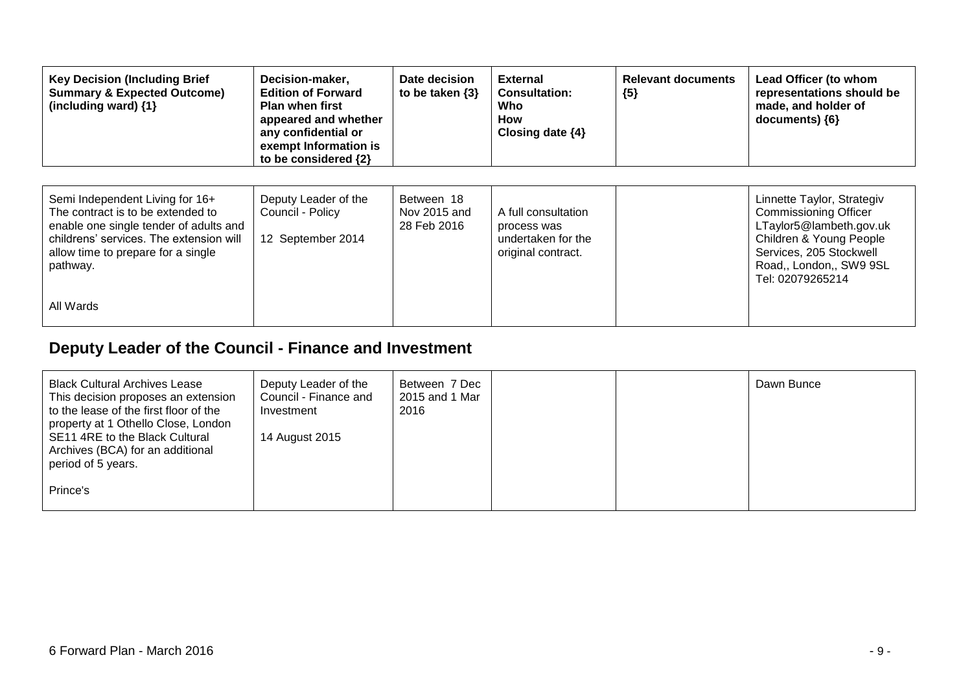| <b>Key Decision (Including Brief</b><br><b>Summary &amp; Expected Outcome)</b><br>(including ward) {1}                                                                                                      | Decision-maker,<br><b>Edition of Forward</b><br><b>Plan when first</b><br>appeared and whether<br>any confidential or<br>exempt Information is<br>to be considered {2} | Date decision<br>to be taken $\{3\}$      | <b>External</b><br><b>Consultation:</b><br>Who<br>How<br>Closing date $\{4\}$  | <b>Relevant documents</b><br>${5}$ | Lead Officer (to whom<br>representations should be<br>made, and holder of<br>$documents)$ {6}                                                                                              |
|-------------------------------------------------------------------------------------------------------------------------------------------------------------------------------------------------------------|------------------------------------------------------------------------------------------------------------------------------------------------------------------------|-------------------------------------------|--------------------------------------------------------------------------------|------------------------------------|--------------------------------------------------------------------------------------------------------------------------------------------------------------------------------------------|
| Semi Independent Living for 16+<br>The contract is to be extended to<br>enable one single tender of adults and<br>childrens' services. The extension will<br>allow time to prepare for a single<br>pathway. | Deputy Leader of the<br>Council - Policy<br>12 September 2014                                                                                                          | Between 18<br>Nov 2015 and<br>28 Feb 2016 | A full consultation<br>process was<br>undertaken for the<br>original contract. |                                    | Linnette Taylor, Strategiv<br><b>Commissioning Officer</b><br>LTaylor5@lambeth.gov.uk<br>Children & Young People<br>Services, 205 Stockwell<br>Road,, London,, SW9 9SL<br>Tel: 02079265214 |
| All Wards                                                                                                                                                                                                   |                                                                                                                                                                        |                                           |                                                                                |                                    |                                                                                                                                                                                            |

## **Deputy Leader of the Council - Finance and Investment**

| <b>Black Cultural Archives Lease</b><br>This decision proposes an extension<br>to the lease of the first floor of the<br>property at 1 Othello Close, London<br>SE11 4RE to the Black Cultural | Deputy Leader of the<br>Council - Finance and<br>Investment<br>14 August 2015 | Between 7 Dec<br>2015 and 1 Mar<br>2016 |  | Dawn Bunce |
|------------------------------------------------------------------------------------------------------------------------------------------------------------------------------------------------|-------------------------------------------------------------------------------|-----------------------------------------|--|------------|
| Archives (BCA) for an additional<br>period of 5 years.<br>Prince's                                                                                                                             |                                                                               |                                         |  |            |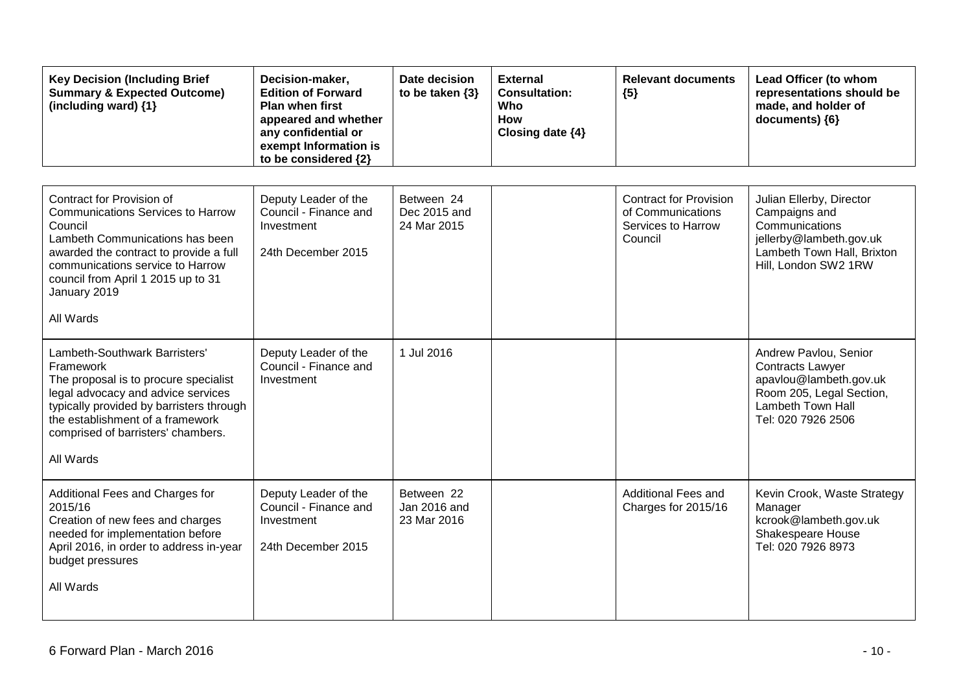| <b>Key Decision (Including Brief</b><br><b>Summary &amp; Expected Outcome)</b><br>(including ward) $\{1\}$                                                                                                                                                           | Decision-maker,<br><b>Edition of Forward</b><br><b>Plan when first</b><br>appeared and whether<br>any confidential or<br>exempt Information is<br>to be considered {2} | Date decision<br>to be taken $\{3\}$      | <b>External</b><br><b>Consultation:</b><br>Who<br><b>How</b><br>Closing date {4} | <b>Relevant documents</b><br>${5}$                                                  | Lead Officer (to whom<br>representations should be<br>made, and holder of<br>documents) {6}                                                       |
|----------------------------------------------------------------------------------------------------------------------------------------------------------------------------------------------------------------------------------------------------------------------|------------------------------------------------------------------------------------------------------------------------------------------------------------------------|-------------------------------------------|----------------------------------------------------------------------------------|-------------------------------------------------------------------------------------|---------------------------------------------------------------------------------------------------------------------------------------------------|
| Contract for Provision of<br><b>Communications Services to Harrow</b><br>Council<br>Lambeth Communications has been<br>awarded the contract to provide a full<br>communications service to Harrow<br>council from April 1 2015 up to 31<br>January 2019<br>All Wards | Deputy Leader of the<br>Council - Finance and<br>Investment<br>24th December 2015                                                                                      | Between 24<br>Dec 2015 and<br>24 Mar 2015 |                                                                                  | <b>Contract for Provision</b><br>of Communications<br>Services to Harrow<br>Council | Julian Ellerby, Director<br>Campaigns and<br>Communications<br>jellerby@lambeth.gov.uk<br>Lambeth Town Hall, Brixton<br>Hill, London SW2 1RW      |
| Lambeth-Southwark Barristers'<br>Framework<br>The proposal is to procure specialist<br>legal advocacy and advice services<br>typically provided by barristers through<br>the establishment of a framework<br>comprised of barristers' chambers.<br>All Wards         | Deputy Leader of the<br>Council - Finance and<br>Investment                                                                                                            | 1 Jul 2016                                |                                                                                  |                                                                                     | Andrew Pavlou, Senior<br><b>Contracts Lawyer</b><br>apavlou@lambeth.gov.uk<br>Room 205, Legal Section,<br>Lambeth Town Hall<br>Tel: 020 7926 2506 |
| Additional Fees and Charges for<br>2015/16<br>Creation of new fees and charges<br>needed for implementation before<br>April 2016, in order to address in-year<br>budget pressures<br>All Wards                                                                       | Deputy Leader of the<br>Council - Finance and<br>Investment<br>24th December 2015                                                                                      | Between 22<br>Jan 2016 and<br>23 Mar 2016 |                                                                                  | <b>Additional Fees and</b><br>Charges for 2015/16                                   | Kevin Crook, Waste Strategy<br>Manager<br>kcrook@lambeth.gov.uk<br>Shakespeare House<br>Tel: 020 7926 8973                                        |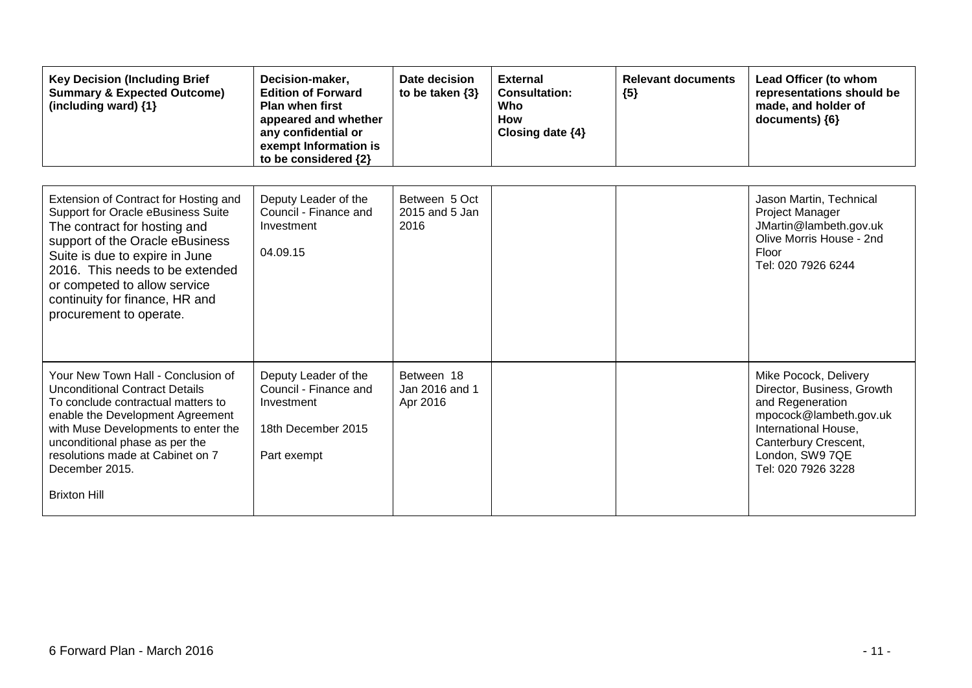| <b>Key Decision (Including Brief</b><br><b>Summary &amp; Expected Outcome)</b><br>(including ward) {1}                                                                                                                                                                                                           | Decision-maker,<br><b>Edition of Forward</b><br><b>Plan when first</b><br>appeared and whether<br>any confidential or<br>exempt Information is<br>to be considered {2} | Date decision<br>to be taken $\{3\}$     | <b>External</b><br><b>Consultation:</b><br>Who<br><b>How</b><br>Closing date {4} | <b>Relevant documents</b><br>${5}$ | Lead Officer (to whom<br>representations should be<br>made, and holder of<br>documents) {6}                                                                                                |
|------------------------------------------------------------------------------------------------------------------------------------------------------------------------------------------------------------------------------------------------------------------------------------------------------------------|------------------------------------------------------------------------------------------------------------------------------------------------------------------------|------------------------------------------|----------------------------------------------------------------------------------|------------------------------------|--------------------------------------------------------------------------------------------------------------------------------------------------------------------------------------------|
| Extension of Contract for Hosting and<br>Support for Oracle eBusiness Suite<br>The contract for hosting and<br>support of the Oracle eBusiness<br>Suite is due to expire in June<br>2016. This needs to be extended<br>or competed to allow service<br>continuity for finance, HR and<br>procurement to operate. | Deputy Leader of the<br>Council - Finance and<br>Investment<br>04.09.15                                                                                                | Between 5 Oct<br>2015 and 5 Jan<br>2016  |                                                                                  |                                    | Jason Martin, Technical<br>Project Manager<br>JMartin@lambeth.gov.uk<br>Olive Morris House - 2nd<br>Floor<br>Tel: 020 7926 6244                                                            |
| Your New Town Hall - Conclusion of<br><b>Unconditional Contract Details</b><br>To conclude contractual matters to<br>enable the Development Agreement<br>with Muse Developments to enter the<br>unconditional phase as per the<br>resolutions made at Cabinet on 7<br>December 2015.<br><b>Brixton Hill</b>      | Deputy Leader of the<br>Council - Finance and<br>Investment<br>18th December 2015<br>Part exempt                                                                       | Between 18<br>Jan 2016 and 1<br>Apr 2016 |                                                                                  |                                    | Mike Pocock, Delivery<br>Director, Business, Growth<br>and Regeneration<br>mpocock@lambeth.gov.uk<br>International House,<br>Canterbury Crescent,<br>London, SW9 7QE<br>Tel: 020 7926 3228 |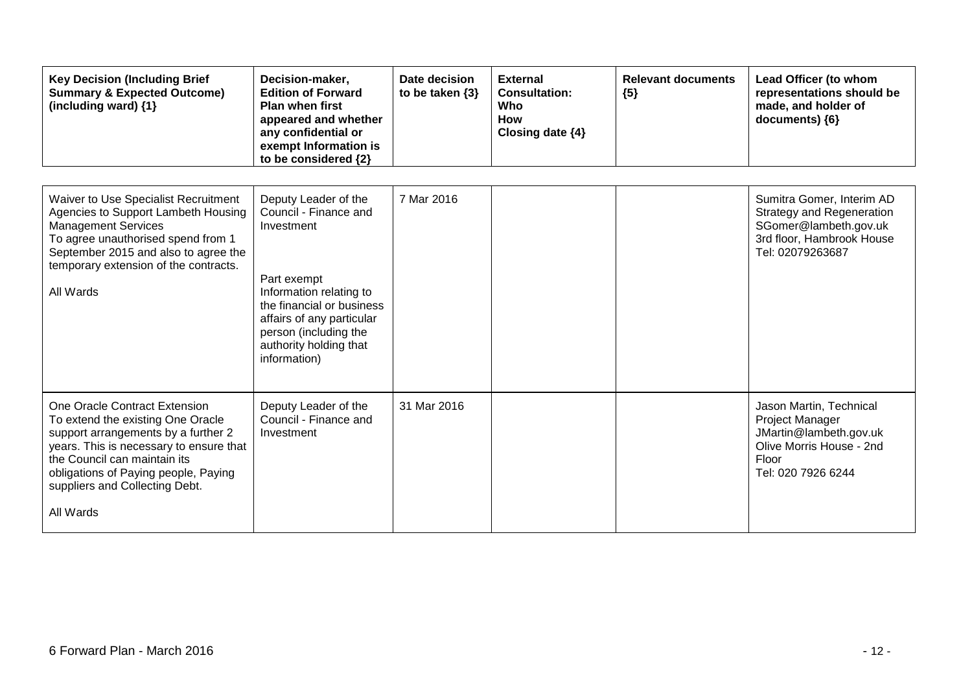| <b>Key Decision (Including Brief</b><br><b>Summary &amp; Expected Outcome)</b><br>(including ward) {1}                                                                                                                                                                      | Decision-maker,<br><b>Edition of Forward</b><br><b>Plan when first</b><br>appeared and whether<br>any confidential or<br>exempt Information is<br>to be considered {2}                                                             | Date decision<br>to be taken $\{3\}$ | <b>External</b><br><b>Consultation:</b><br>Who<br><b>How</b><br>Closing date $\{4\}$ | <b>Relevant documents</b><br>${5}$ | Lead Officer (to whom<br>representations should be<br>made, and holder of<br>documents) {6}                                             |
|-----------------------------------------------------------------------------------------------------------------------------------------------------------------------------------------------------------------------------------------------------------------------------|------------------------------------------------------------------------------------------------------------------------------------------------------------------------------------------------------------------------------------|--------------------------------------|--------------------------------------------------------------------------------------|------------------------------------|-----------------------------------------------------------------------------------------------------------------------------------------|
| Waiver to Use Specialist Recruitment<br>Agencies to Support Lambeth Housing<br><b>Management Services</b><br>To agree unauthorised spend from 1<br>September 2015 and also to agree the<br>temporary extension of the contracts.<br>All Wards                               | Deputy Leader of the<br>Council - Finance and<br>Investment<br>Part exempt<br>Information relating to<br>the financial or business<br>affairs of any particular<br>person (including the<br>authority holding that<br>information) | 7 Mar 2016                           |                                                                                      |                                    | Sumitra Gomer, Interim AD<br><b>Strategy and Regeneration</b><br>SGomer@lambeth.gov.uk<br>3rd floor, Hambrook House<br>Tel: 02079263687 |
| One Oracle Contract Extension<br>To extend the existing One Oracle<br>support arrangements by a further 2<br>years. This is necessary to ensure that<br>the Council can maintain its<br>obligations of Paying people, Paying<br>suppliers and Collecting Debt.<br>All Wards | Deputy Leader of the<br>Council - Finance and<br>Investment                                                                                                                                                                        | 31 Mar 2016                          |                                                                                      |                                    | Jason Martin, Technical<br>Project Manager<br>JMartin@lambeth.gov.uk<br>Olive Morris House - 2nd<br>Floor<br>Tel: 020 7926 6244         |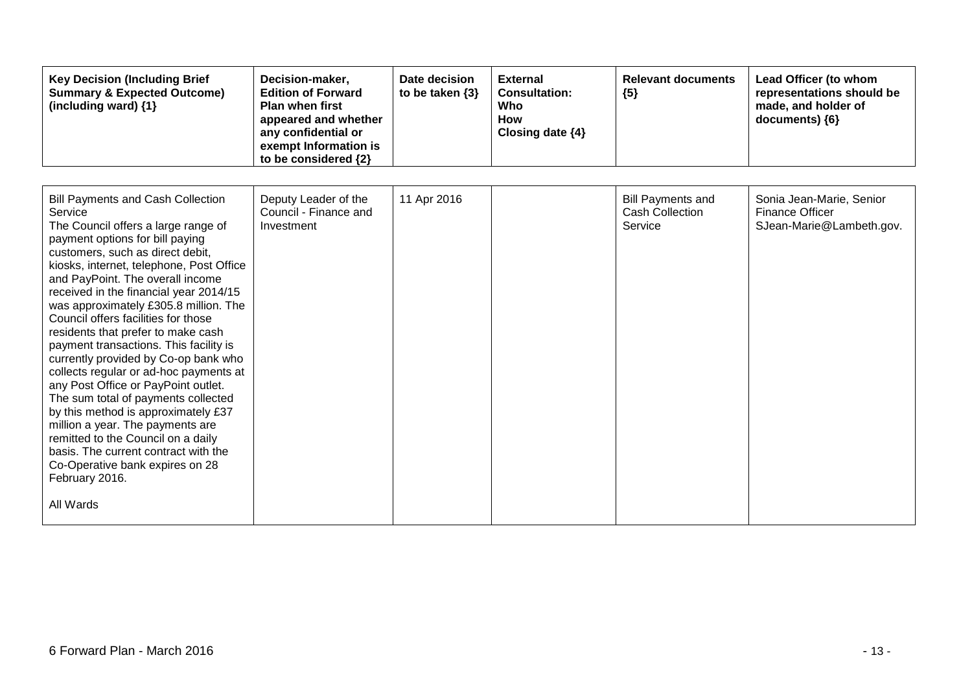| <b>Key Decision (Including Brief</b><br><b>Summary &amp; Expected Outcome)</b><br>(including ward) {1}                                                                                                                                                                                                                                                                                                                                                                                                                                                                                                                                                                                                                                                                                                                                                 | Decision-maker,<br><b>Edition of Forward</b><br><b>Plan when first</b><br>appeared and whether<br>any confidential or<br>exempt Information is<br>to be considered {2} | Date decision<br>to be taken $\{3\}$ | <b>External</b><br><b>Consultation:</b><br>Who<br>How<br>Closing date $\{4\}$ | <b>Relevant documents</b><br>${5}$                            | Lead Officer (to whom<br>representations should be<br>made, and holder of<br>documents) {6} |
|--------------------------------------------------------------------------------------------------------------------------------------------------------------------------------------------------------------------------------------------------------------------------------------------------------------------------------------------------------------------------------------------------------------------------------------------------------------------------------------------------------------------------------------------------------------------------------------------------------------------------------------------------------------------------------------------------------------------------------------------------------------------------------------------------------------------------------------------------------|------------------------------------------------------------------------------------------------------------------------------------------------------------------------|--------------------------------------|-------------------------------------------------------------------------------|---------------------------------------------------------------|---------------------------------------------------------------------------------------------|
| <b>Bill Payments and Cash Collection</b><br>Service<br>The Council offers a large range of<br>payment options for bill paying<br>customers, such as direct debit,<br>kiosks, internet, telephone, Post Office<br>and PayPoint. The overall income<br>received in the financial year 2014/15<br>was approximately £305.8 million. The<br>Council offers facilities for those<br>residents that prefer to make cash<br>payment transactions. This facility is<br>currently provided by Co-op bank who<br>collects regular or ad-hoc payments at<br>any Post Office or PayPoint outlet.<br>The sum total of payments collected<br>by this method is approximately £37<br>million a year. The payments are<br>remitted to the Council on a daily<br>basis. The current contract with the<br>Co-Operative bank expires on 28<br>February 2016.<br>All Wards | Deputy Leader of the<br>Council - Finance and<br>Investment                                                                                                            | 11 Apr 2016                          |                                                                               | <b>Bill Payments and</b><br><b>Cash Collection</b><br>Service | Sonia Jean-Marie, Senior<br><b>Finance Officer</b><br>SJean-Marie@Lambeth.gov.              |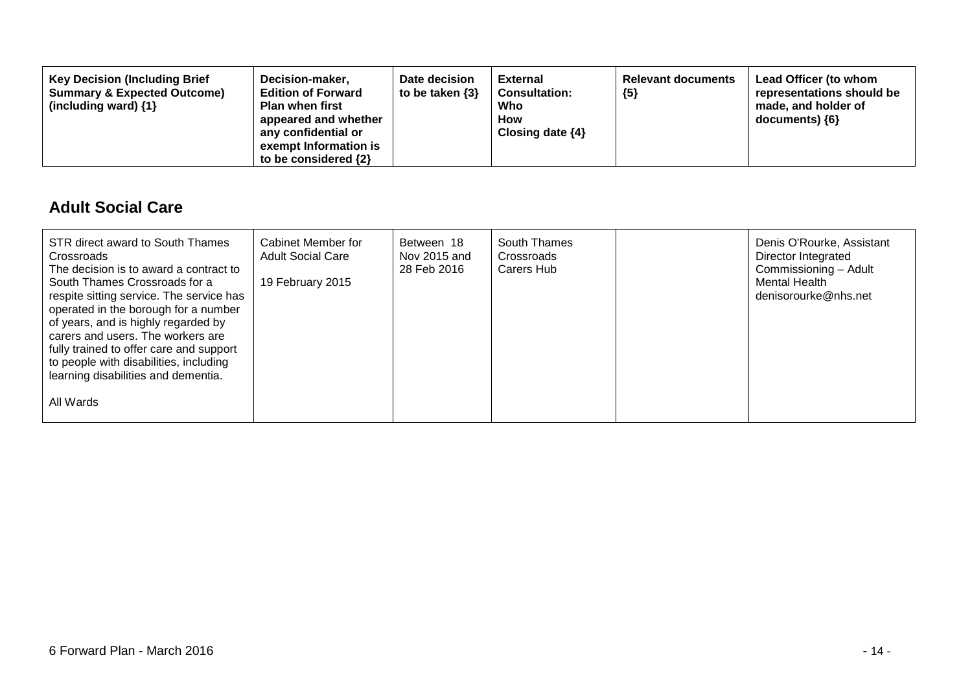| Decision-maker,<br><b>Key Decision (Including Brief</b><br><b>Summary &amp; Expected Outcome)</b><br><b>Edition of Forward</b><br><b>Plan when first</b><br>(including ward) $\{1\}$<br>appeared and whether<br>any confidential or<br>exempt Information is<br>to be considered $\{2\}$ | Date decision<br>to be taken $\{3\}$ | <b>External</b><br><b>Consultation:</b><br>Who<br>How<br>Closing date $\{4\}$ | <b>Relevant documents</b><br>${5}$ | Lead Officer (to whom<br>representations should be<br>made, and holder of<br>documents) ${6}$ |
|------------------------------------------------------------------------------------------------------------------------------------------------------------------------------------------------------------------------------------------------------------------------------------------|--------------------------------------|-------------------------------------------------------------------------------|------------------------------------|-----------------------------------------------------------------------------------------------|
|------------------------------------------------------------------------------------------------------------------------------------------------------------------------------------------------------------------------------------------------------------------------------------------|--------------------------------------|-------------------------------------------------------------------------------|------------------------------------|-----------------------------------------------------------------------------------------------|

#### **Adult Social Care**

| STR direct award to South Thames<br>Crossroads<br>The decision is to award a contract to<br>South Thames Crossroads for a<br>respite sitting service. The service has<br>operated in the borough for a number<br>of years, and is highly regarded by<br>carers and users. The workers are<br>fully trained to offer care and support<br>to people with disabilities, including<br>learning disabilities and dementia. | Cabinet Member for<br><b>Adult Social Care</b><br>19 February 2015 | Between 18<br>Nov 2015 and<br>28 Feb 2016 | South Thames<br>Crossroads<br>Carers Hub | Denis O'Rourke, Assistant<br>Director Integrated<br>Commissioning - Adult<br><b>Mental Health</b><br>denisorourke@nhs.net |
|-----------------------------------------------------------------------------------------------------------------------------------------------------------------------------------------------------------------------------------------------------------------------------------------------------------------------------------------------------------------------------------------------------------------------|--------------------------------------------------------------------|-------------------------------------------|------------------------------------------|---------------------------------------------------------------------------------------------------------------------------|
| All Wards                                                                                                                                                                                                                                                                                                                                                                                                             |                                                                    |                                           |                                          |                                                                                                                           |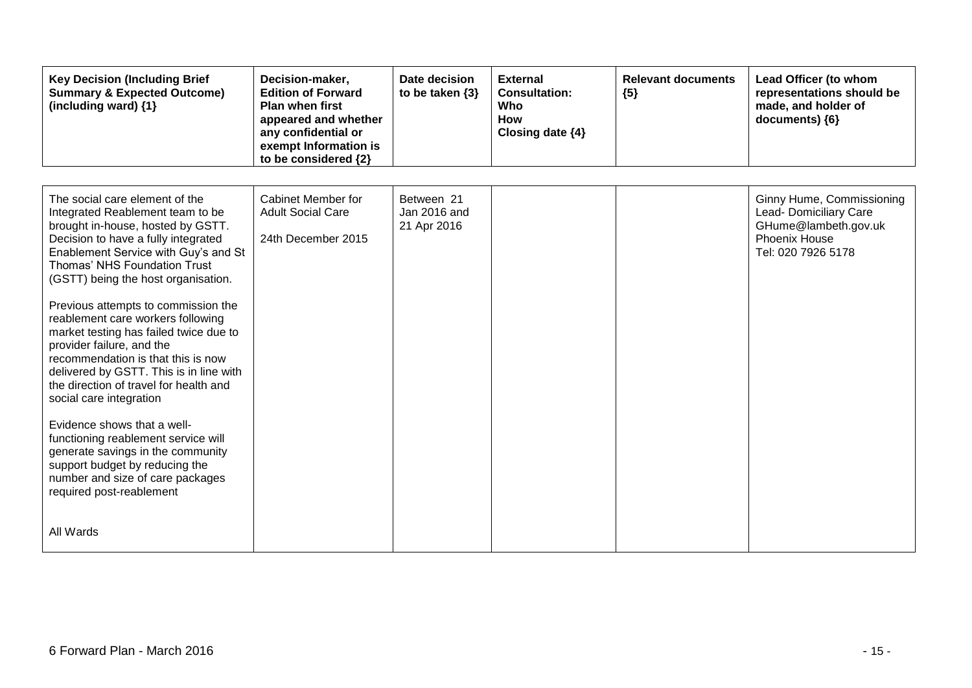| <b>Key Decision (Including Brief</b><br><b>Summary &amp; Expected Outcome)</b><br>(including ward) {1}                                                                                                                                                                                                                                                                                                                                                                                                                                                                                                                                                                                                                                                                                           | Decision-maker,<br><b>Edition of Forward</b><br><b>Plan when first</b><br>appeared and whether<br>any confidential or<br>exempt Information is<br>to be considered {2} | Date decision<br>to be taken $\{3\}$      | <b>External</b><br><b>Consultation:</b><br>Who<br><b>How</b><br>Closing date {4} | <b>Relevant documents</b><br>${5}$ | Lead Officer (to whom<br>representations should be<br>made, and holder of<br>documents) {6}                        |
|--------------------------------------------------------------------------------------------------------------------------------------------------------------------------------------------------------------------------------------------------------------------------------------------------------------------------------------------------------------------------------------------------------------------------------------------------------------------------------------------------------------------------------------------------------------------------------------------------------------------------------------------------------------------------------------------------------------------------------------------------------------------------------------------------|------------------------------------------------------------------------------------------------------------------------------------------------------------------------|-------------------------------------------|----------------------------------------------------------------------------------|------------------------------------|--------------------------------------------------------------------------------------------------------------------|
| The social care element of the<br>Integrated Reablement team to be<br>brought in-house, hosted by GSTT.<br>Decision to have a fully integrated<br>Enablement Service with Guy's and St<br>Thomas' NHS Foundation Trust<br>(GSTT) being the host organisation.<br>Previous attempts to commission the<br>reablement care workers following<br>market testing has failed twice due to<br>provider failure, and the<br>recommendation is that this is now<br>delivered by GSTT. This is in line with<br>the direction of travel for health and<br>social care integration<br>Evidence shows that a well-<br>functioning reablement service will<br>generate savings in the community<br>support budget by reducing the<br>number and size of care packages<br>required post-reablement<br>All Wards | Cabinet Member for<br><b>Adult Social Care</b><br>24th December 2015                                                                                                   | Between 21<br>Jan 2016 and<br>21 Apr 2016 |                                                                                  |                                    | Ginny Hume, Commissioning<br>Lead- Domiciliary Care<br>GHume@lambeth.gov.uk<br>Phoenix House<br>Tel: 020 7926 5178 |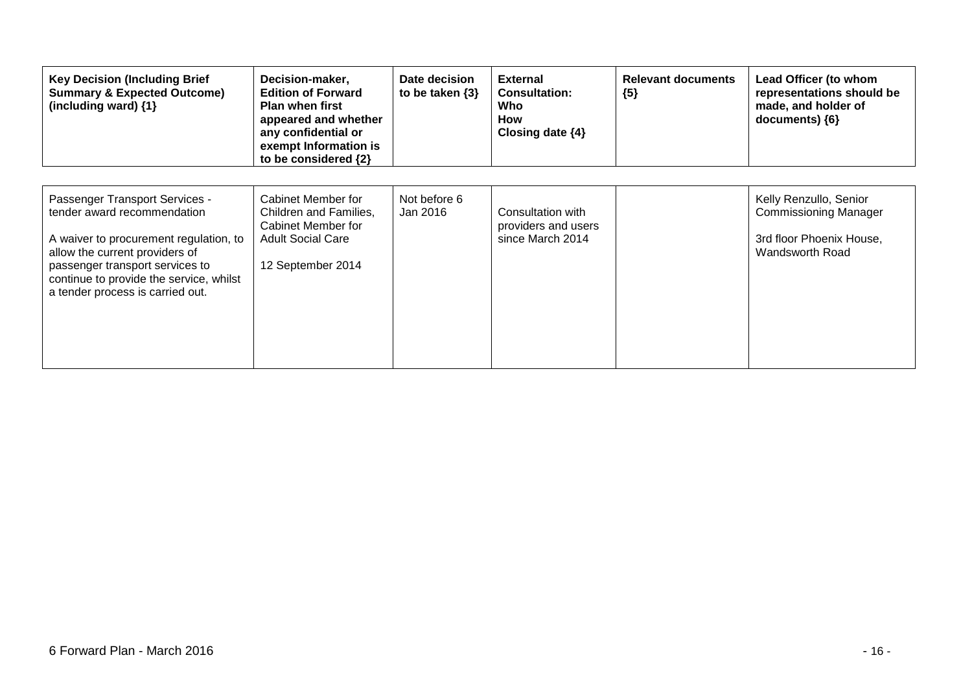| <b>Key Decision (Including Brief</b><br><b>Summary &amp; Expected Outcome)</b><br>(including ward) {1}                                                                                                                                                      | Decision-maker,<br><b>Edition of Forward</b><br><b>Plan when first</b><br>appeared and whether<br>any confidential or<br>exempt Information is<br>to be considered {2} | Date decision<br>to be taken $\{3\}$ | <b>External</b><br><b>Consultation:</b><br>Who<br>How<br>Closing date $\{4\}$ | <b>Relevant documents</b><br>${5}$ | Lead Officer (to whom<br>representations should be<br>made, and holder of<br>documents) ${6}$         |
|-------------------------------------------------------------------------------------------------------------------------------------------------------------------------------------------------------------------------------------------------------------|------------------------------------------------------------------------------------------------------------------------------------------------------------------------|--------------------------------------|-------------------------------------------------------------------------------|------------------------------------|-------------------------------------------------------------------------------------------------------|
| Passenger Transport Services -<br>tender award recommendation<br>A waiver to procurement regulation, to<br>allow the current providers of<br>passenger transport services to<br>continue to provide the service, whilst<br>a tender process is carried out. | Cabinet Member for<br>Children and Families,<br>Cabinet Member for<br><b>Adult Social Care</b><br>12 September 2014                                                    | Not before 6<br>Jan 2016             | Consultation with<br>providers and users<br>since March 2014                  |                                    | Kelly Renzullo, Senior<br><b>Commissioning Manager</b><br>3rd floor Phoenix House,<br>Wandsworth Road |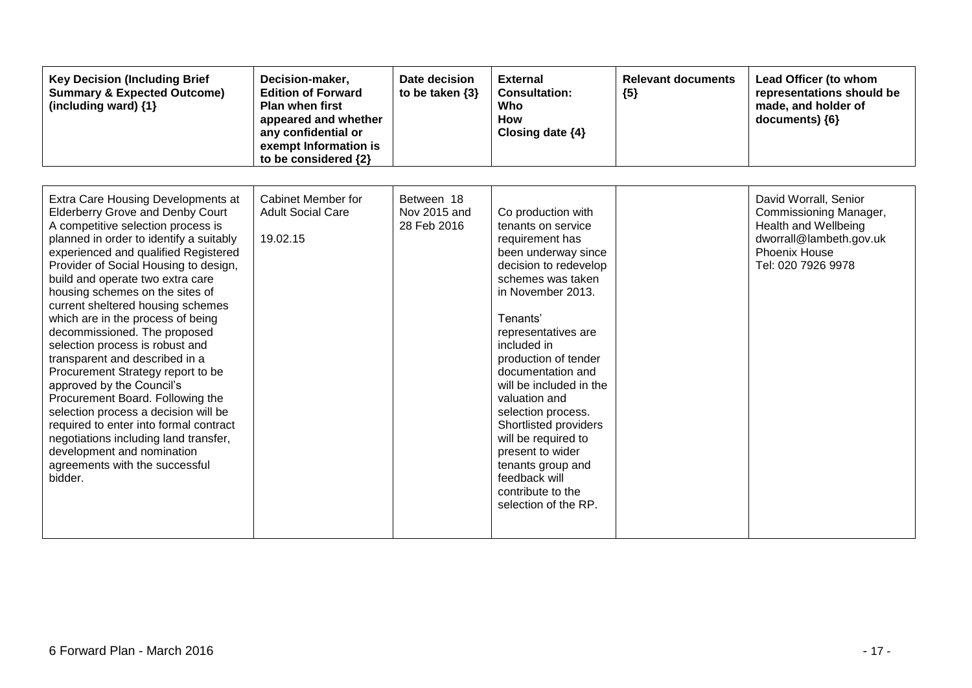| <b>Key Decision (Including Brief</b><br><b>Summary &amp; Expected Outcome)</b><br>(including ward) {1}                                                                                                                                                                                                                                                                                                                                                                                                                                                                                                                                                                                                                                                                                                            | Decision-maker,<br><b>Edition of Forward</b><br><b>Plan when first</b><br>appeared and whether<br>any confidential or<br>exempt Information is<br>to be considered {2} | Date decision<br>to be taken $\{3\}$      | <b>External</b><br><b>Consultation:</b><br>Who<br><b>How</b><br>Closing date $\{4\}$                                                                                                                                                                                                                                                                                                                                                                                          | <b>Relevant documents</b><br>${5}$ | Lead Officer (to whom<br>representations should be<br>made, and holder of<br>documents) {6}                                               |
|-------------------------------------------------------------------------------------------------------------------------------------------------------------------------------------------------------------------------------------------------------------------------------------------------------------------------------------------------------------------------------------------------------------------------------------------------------------------------------------------------------------------------------------------------------------------------------------------------------------------------------------------------------------------------------------------------------------------------------------------------------------------------------------------------------------------|------------------------------------------------------------------------------------------------------------------------------------------------------------------------|-------------------------------------------|-------------------------------------------------------------------------------------------------------------------------------------------------------------------------------------------------------------------------------------------------------------------------------------------------------------------------------------------------------------------------------------------------------------------------------------------------------------------------------|------------------------------------|-------------------------------------------------------------------------------------------------------------------------------------------|
| Extra Care Housing Developments at<br><b>Elderberry Grove and Denby Court</b><br>A competitive selection process is<br>planned in order to identify a suitably<br>experienced and qualified Registered<br>Provider of Social Housing to design,<br>build and operate two extra care<br>housing schemes on the sites of<br>current sheltered housing schemes<br>which are in the process of being<br>decommissioned. The proposed<br>selection process is robust and<br>transparent and described in a<br>Procurement Strategy report to be<br>approved by the Council's<br>Procurement Board. Following the<br>selection process a decision will be<br>required to enter into formal contract<br>negotiations including land transfer,<br>development and nomination<br>agreements with the successful<br>bidder. | Cabinet Member for<br><b>Adult Social Care</b><br>19.02.15                                                                                                             | Between 18<br>Nov 2015 and<br>28 Feb 2016 | Co production with<br>tenants on service<br>requirement has<br>been underway since<br>decision to redevelop<br>schemes was taken<br>in November 2013.<br>Tenants'<br>representatives are<br>included in<br>production of tender<br>documentation and<br>will be included in the<br>valuation and<br>selection process.<br>Shortlisted providers<br>will be required to<br>present to wider<br>tenants group and<br>feedback will<br>contribute to the<br>selection of the RP. |                                    | David Worrall, Senior<br>Commissioning Manager,<br>Health and Wellbeing<br>dworrall@lambeth.gov.uk<br>Phoenix House<br>Tel: 020 7926 9978 |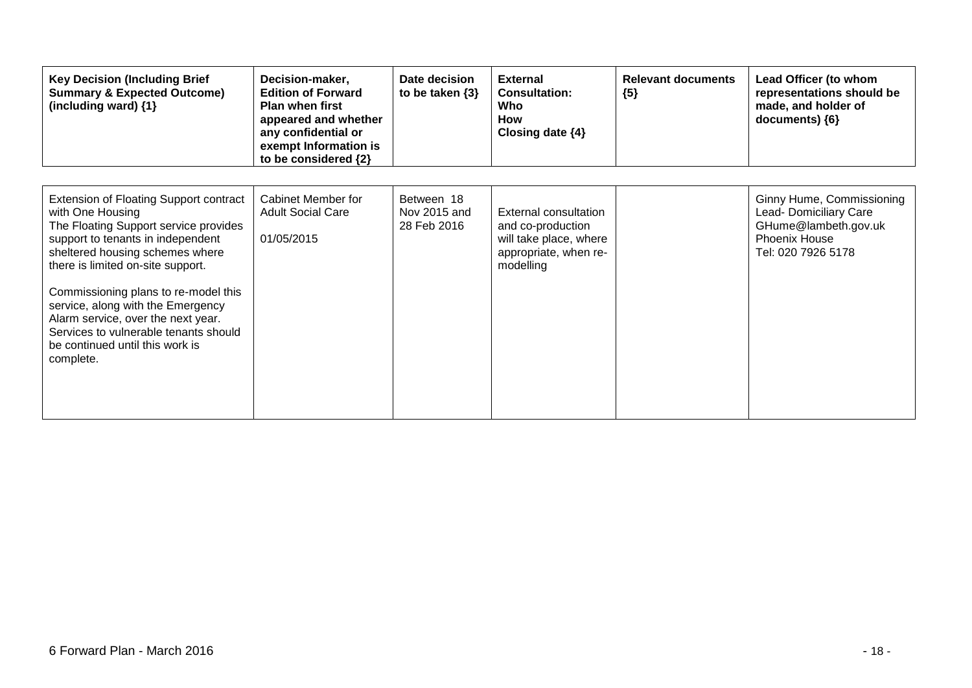| <b>Key Decision (Including Brief</b><br><b>Summary &amp; Expected Outcome)</b><br>(including ward) {1}                                                                                                                                                                                                                                                                                                                       | Decision-maker,<br><b>Edition of Forward</b><br>Plan when first<br>appeared and whether<br>any confidential or<br>exempt Information is<br>to be considered {2} | Date decision<br>to be taken $\{3\}$      | <b>External</b><br><b>Consultation:</b><br>Who<br>How<br>Closing date $\{4\}$                                     | <b>Relevant documents</b><br>${5}$ | Lead Officer (to whom<br>representations should be<br>made, and holder of<br>documents) ${6}$                      |
|------------------------------------------------------------------------------------------------------------------------------------------------------------------------------------------------------------------------------------------------------------------------------------------------------------------------------------------------------------------------------------------------------------------------------|-----------------------------------------------------------------------------------------------------------------------------------------------------------------|-------------------------------------------|-------------------------------------------------------------------------------------------------------------------|------------------------------------|--------------------------------------------------------------------------------------------------------------------|
| Extension of Floating Support contract<br>with One Housing<br>The Floating Support service provides<br>support to tenants in independent<br>sheltered housing schemes where<br>there is limited on-site support.<br>Commissioning plans to re-model this<br>service, along with the Emergency<br>Alarm service, over the next year.<br>Services to vulnerable tenants should<br>be continued until this work is<br>complete. | Cabinet Member for<br><b>Adult Social Care</b><br>01/05/2015                                                                                                    | Between 18<br>Nov 2015 and<br>28 Feb 2016 | <b>External consultation</b><br>and co-production<br>will take place, where<br>appropriate, when re-<br>modelling |                                    | Ginny Hume, Commissioning<br>Lead- Domiciliary Care<br>GHume@lambeth.gov.uk<br>Phoenix House<br>Tel: 020 7926 5178 |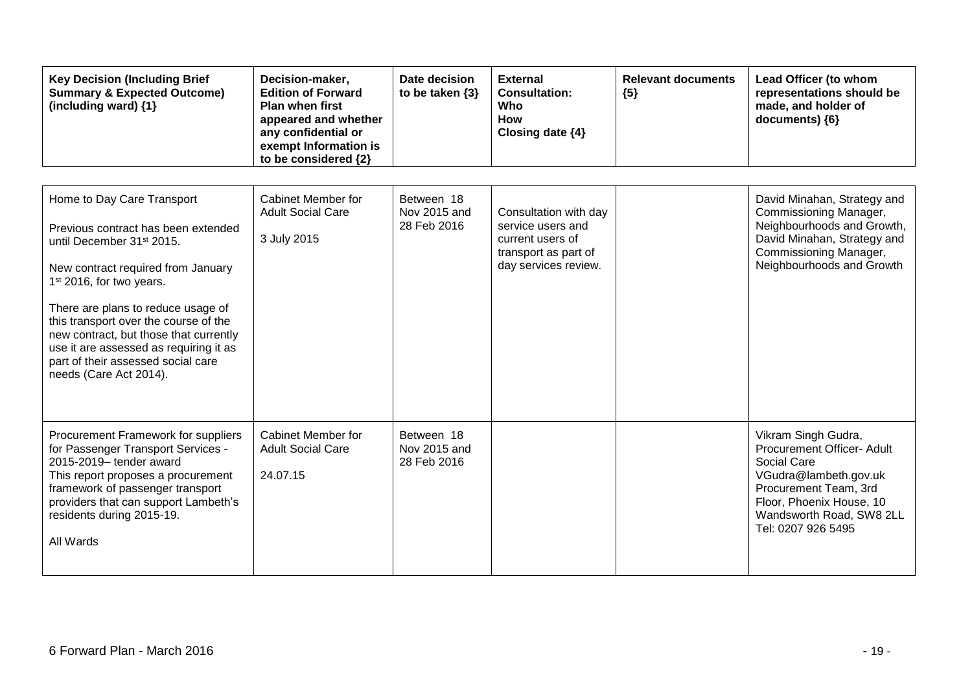| <b>Key Decision (Including Brief</b><br><b>Summary &amp; Expected Outcome)</b><br>(including ward) {1}                                                                                                                                                                                                                                                                                                                      | Decision-maker,<br><b>Edition of Forward</b><br><b>Plan when first</b><br>appeared and whether<br>any confidential or<br>exempt Information is<br>to be considered {2} | Date decision<br>to be taken $\{3\}$      | <b>External</b><br><b>Consultation:</b><br>Who<br><b>How</b><br>Closing date $\{4\}$                           | <b>Relevant documents</b><br>${5}$ | Lead Officer (to whom<br>representations should be<br>made, and holder of<br>documents) {6}                                                                                                      |
|-----------------------------------------------------------------------------------------------------------------------------------------------------------------------------------------------------------------------------------------------------------------------------------------------------------------------------------------------------------------------------------------------------------------------------|------------------------------------------------------------------------------------------------------------------------------------------------------------------------|-------------------------------------------|----------------------------------------------------------------------------------------------------------------|------------------------------------|--------------------------------------------------------------------------------------------------------------------------------------------------------------------------------------------------|
| Home to Day Care Transport<br>Previous contract has been extended<br>until December 31 <sup>st</sup> 2015.<br>New contract required from January<br>1 <sup>st</sup> 2016, for two years.<br>There are plans to reduce usage of<br>this transport over the course of the<br>new contract, but those that currently<br>use it are assessed as requiring it as<br>part of their assessed social care<br>needs (Care Act 2014). | Cabinet Member for<br><b>Adult Social Care</b><br>3 July 2015                                                                                                          | Between 18<br>Nov 2015 and<br>28 Feb 2016 | Consultation with day<br>service users and<br>current users of<br>transport as part of<br>day services review. |                                    | David Minahan, Strategy and<br>Commissioning Manager,<br>Neighbourhoods and Growth,<br>David Minahan, Strategy and<br>Commissioning Manager,<br>Neighbourhoods and Growth                        |
| Procurement Framework for suppliers<br>for Passenger Transport Services -<br>2015-2019- tender award<br>This report proposes a procurement<br>framework of passenger transport<br>providers that can support Lambeth's<br>residents during 2015-19.<br>All Wards                                                                                                                                                            | <b>Cabinet Member for</b><br><b>Adult Social Care</b><br>24.07.15                                                                                                      | Between 18<br>Nov 2015 and<br>28 Feb 2016 |                                                                                                                |                                    | Vikram Singh Gudra,<br>Procurement Officer- Adult<br>Social Care<br>VGudra@lambeth.gov.uk<br>Procurement Team, 3rd<br>Floor, Phoenix House, 10<br>Wandsworth Road, SW8 2LL<br>Tel: 0207 926 5495 |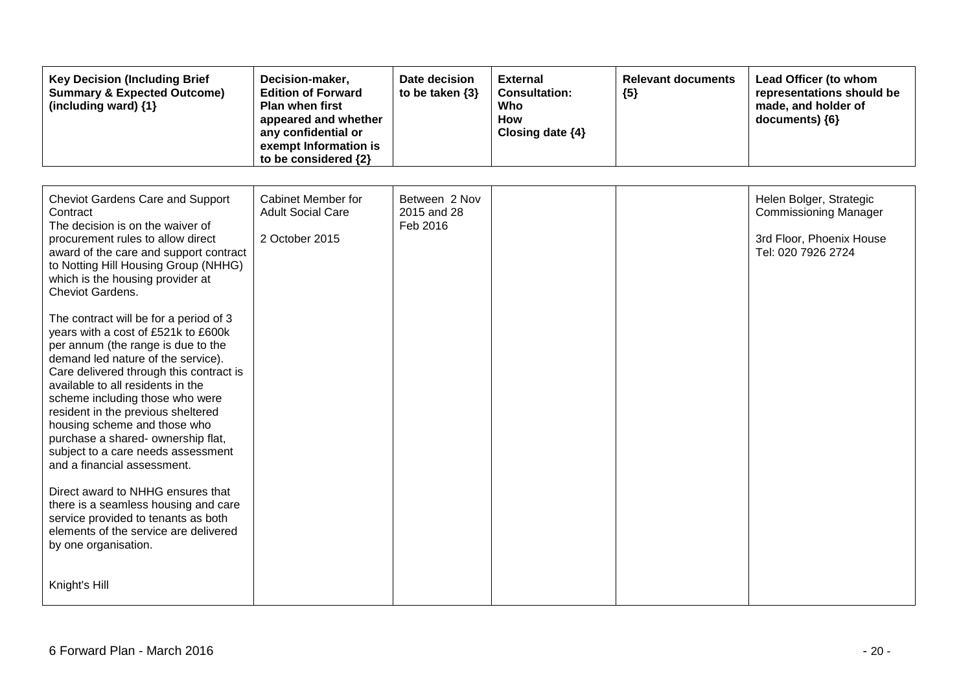| <b>Key Decision (Including Brief</b><br><b>Summary &amp; Expected Outcome)</b><br>(including ward) {1}                                                                                                                                                                                                                                                                                                                                                                                                                                                                                                                                                                                                                                                                                                                                                                                                                                        | Decision-maker,<br><b>Edition of Forward</b><br><b>Plan when first</b><br>appeared and whether<br>any confidential or<br>exempt Information is<br>to be considered {2} | Date decision<br>to be taken $\{3\}$     | <b>External</b><br><b>Consultation:</b><br>Who<br>How<br>Closing date {4} | <b>Relevant documents</b><br>${5}$ | Lead Officer (to whom<br>representations should be<br>made, and holder of<br>documents) {6}               |
|-----------------------------------------------------------------------------------------------------------------------------------------------------------------------------------------------------------------------------------------------------------------------------------------------------------------------------------------------------------------------------------------------------------------------------------------------------------------------------------------------------------------------------------------------------------------------------------------------------------------------------------------------------------------------------------------------------------------------------------------------------------------------------------------------------------------------------------------------------------------------------------------------------------------------------------------------|------------------------------------------------------------------------------------------------------------------------------------------------------------------------|------------------------------------------|---------------------------------------------------------------------------|------------------------------------|-----------------------------------------------------------------------------------------------------------|
| <b>Cheviot Gardens Care and Support</b><br>Contract<br>The decision is on the waiver of<br>procurement rules to allow direct<br>award of the care and support contract<br>to Notting Hill Housing Group (NHHG)<br>which is the housing provider at<br>Cheviot Gardens.<br>The contract will be for a period of 3<br>years with a cost of £521k to £600k<br>per annum (the range is due to the<br>demand led nature of the service).<br>Care delivered through this contract is<br>available to all residents in the<br>scheme including those who were<br>resident in the previous sheltered<br>housing scheme and those who<br>purchase a shared- ownership flat,<br>subject to a care needs assessment<br>and a financial assessment.<br>Direct award to NHHG ensures that<br>there is a seamless housing and care<br>service provided to tenants as both<br>elements of the service are delivered<br>by one organisation.<br>Knight's Hill | <b>Cabinet Member for</b><br><b>Adult Social Care</b><br>2 October 2015                                                                                                | Between 2 Nov<br>2015 and 28<br>Feb 2016 |                                                                           |                                    | Helen Bolger, Strategic<br><b>Commissioning Manager</b><br>3rd Floor, Phoenix House<br>Tel: 020 7926 2724 |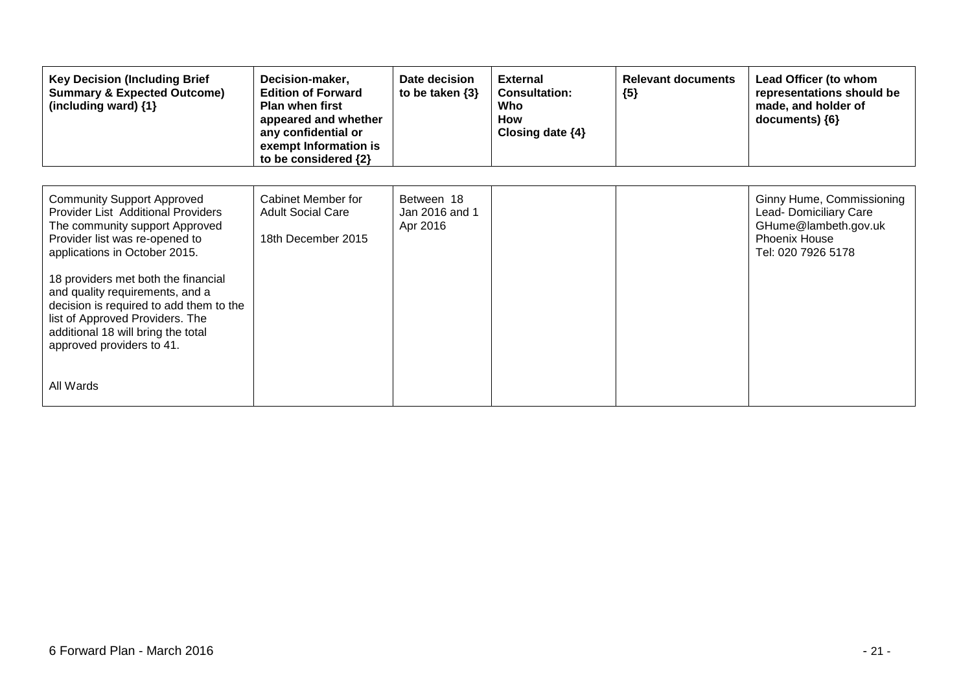| <b>Key Decision (Including Brief</b><br><b>Summary &amp; Expected Outcome)</b><br>(including ward) $\{1\}$                                                                                                                                                                                                                                                                                                                  | Decision-maker,<br><b>Edition of Forward</b><br><b>Plan when first</b><br>appeared and whether<br>any confidential or<br>exempt Information is<br>to be considered {2} | Date decision<br>to be taken $\{3\}$     | <b>External</b><br><b>Consultation:</b><br>Who<br><b>How</b><br>Closing date $\{4\}$ | <b>Relevant documents</b><br>${5}$ | Lead Officer (to whom<br>representations should be<br>made, and holder of<br>documents) ${6}$                             |
|-----------------------------------------------------------------------------------------------------------------------------------------------------------------------------------------------------------------------------------------------------------------------------------------------------------------------------------------------------------------------------------------------------------------------------|------------------------------------------------------------------------------------------------------------------------------------------------------------------------|------------------------------------------|--------------------------------------------------------------------------------------|------------------------------------|---------------------------------------------------------------------------------------------------------------------------|
| <b>Community Support Approved</b><br><b>Provider List Additional Providers</b><br>The community support Approved<br>Provider list was re-opened to<br>applications in October 2015.<br>18 providers met both the financial<br>and quality requirements, and a<br>decision is required to add them to the<br>list of Approved Providers. The<br>additional 18 will bring the total<br>approved providers to 41.<br>All Wards | Cabinet Member for<br><b>Adult Social Care</b><br>18th December 2015                                                                                                   | Between 18<br>Jan 2016 and 1<br>Apr 2016 |                                                                                      |                                    | Ginny Hume, Commissioning<br>Lead- Domiciliary Care<br>GHume@lambeth.gov.uk<br><b>Phoenix House</b><br>Tel: 020 7926 5178 |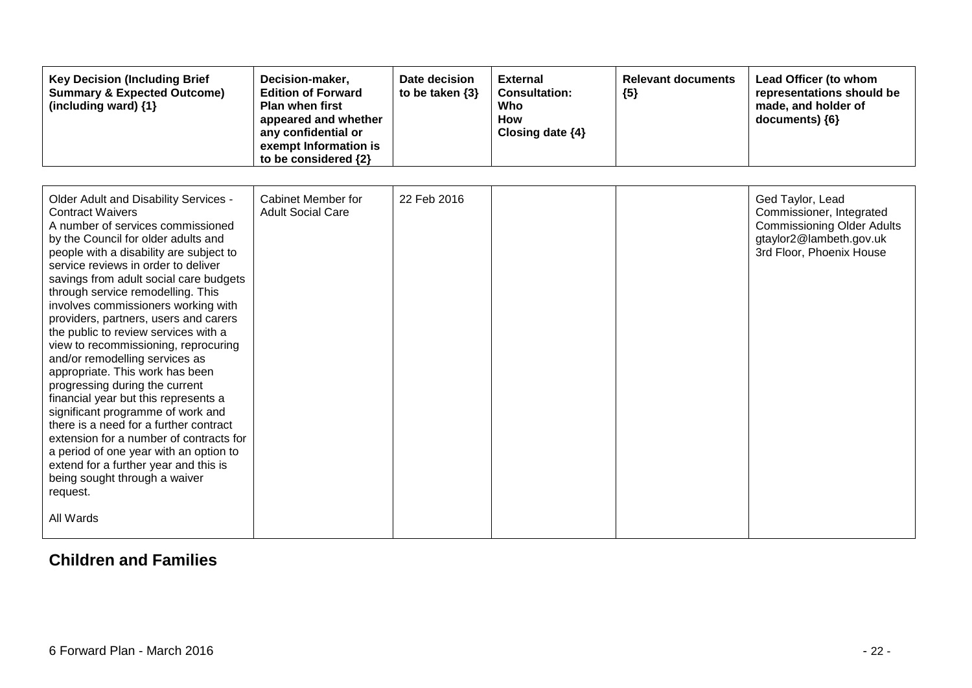| <b>Key Decision (Including Brief</b><br><b>Summary &amp; Expected Outcome)</b><br>(including ward) {1}                                                                                                                                                                                                                                                                                                                                                                                                                                                                                                                                                                                                                                                                                                                                                                                              | Decision-maker,<br><b>Edition of Forward</b><br><b>Plan when first</b><br>appeared and whether<br>any confidential or<br>exempt Information is<br>to be considered {2} | Date decision<br>to be taken $\{3\}$ | <b>External</b><br><b>Consultation:</b><br>Who<br><b>How</b><br>Closing date {4} | <b>Relevant documents</b><br>${5}$ | Lead Officer (to whom<br>representations should be<br>made, and holder of<br>documents) {6}                                              |
|-----------------------------------------------------------------------------------------------------------------------------------------------------------------------------------------------------------------------------------------------------------------------------------------------------------------------------------------------------------------------------------------------------------------------------------------------------------------------------------------------------------------------------------------------------------------------------------------------------------------------------------------------------------------------------------------------------------------------------------------------------------------------------------------------------------------------------------------------------------------------------------------------------|------------------------------------------------------------------------------------------------------------------------------------------------------------------------|--------------------------------------|----------------------------------------------------------------------------------|------------------------------------|------------------------------------------------------------------------------------------------------------------------------------------|
| Older Adult and Disability Services -<br><b>Contract Waivers</b><br>A number of services commissioned<br>by the Council for older adults and<br>people with a disability are subject to<br>service reviews in order to deliver<br>savings from adult social care budgets<br>through service remodelling. This<br>involves commissioners working with<br>providers, partners, users and carers<br>the public to review services with a<br>view to recommissioning, reprocuring<br>and/or remodelling services as<br>appropriate. This work has been<br>progressing during the current<br>financial year but this represents a<br>significant programme of work and<br>there is a need for a further contract<br>extension for a number of contracts for<br>a period of one year with an option to<br>extend for a further year and this is<br>being sought through a waiver<br>request.<br>All Wards | <b>Cabinet Member for</b><br><b>Adult Social Care</b>                                                                                                                  | 22 Feb 2016                          |                                                                                  |                                    | Ged Taylor, Lead<br>Commissioner, Integrated<br><b>Commissioning Older Adults</b><br>gtaylor2@lambeth.gov.uk<br>3rd Floor, Phoenix House |

#### **Children and Families**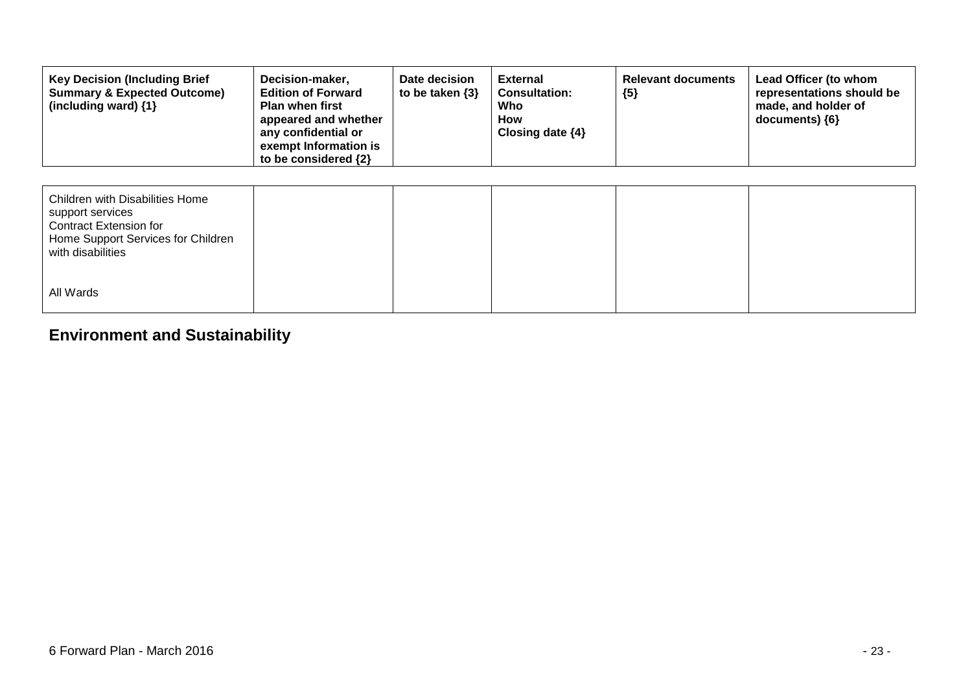| <b>Key Decision (Including Brief</b><br><b>Summary &amp; Expected Outcome)</b><br>(including ward) $\{1\}$                               | Decision-maker,<br><b>Edition of Forward</b><br><b>Plan when first</b><br>appeared and whether<br>any confidential or<br>exempt Information is<br>to be considered {2} | Date decision<br>to be taken $\{3\}$ | <b>External</b><br><b>Consultation:</b><br>Who<br>How<br>Closing date $\{4\}$ | <b>Relevant documents</b><br>${5}$ | Lead Officer (to whom<br>representations should be<br>made, and holder of<br>documents) {6} |
|------------------------------------------------------------------------------------------------------------------------------------------|------------------------------------------------------------------------------------------------------------------------------------------------------------------------|--------------------------------------|-------------------------------------------------------------------------------|------------------------------------|---------------------------------------------------------------------------------------------|
| Children with Disabilities Home<br>support services<br>Contract Extension for<br>Home Support Services for Children<br>with disabilities |                                                                                                                                                                        |                                      |                                                                               |                                    |                                                                                             |
| All Wards                                                                                                                                |                                                                                                                                                                        |                                      |                                                                               |                                    |                                                                                             |

## **Environment and Sustainability**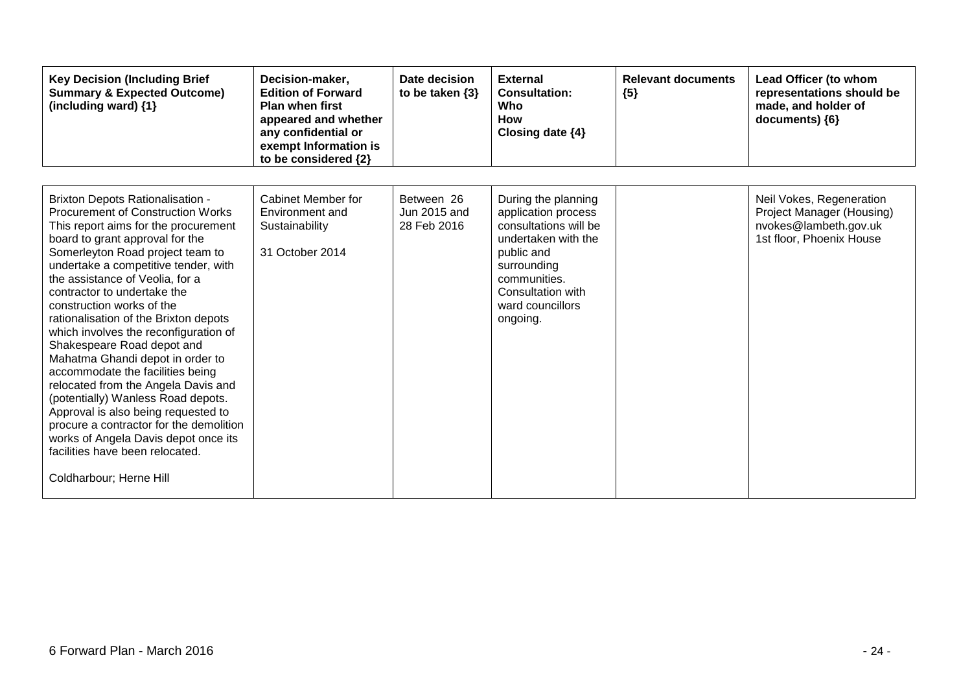| <b>Key Decision (Including Brief</b><br><b>Summary &amp; Expected Outcome)</b><br>(including ward) {1}                                                                                                                                                                                                                                                                                                                                                                                                                                                                                                                                                                                                                                                                                                 | Decision-maker,<br><b>Edition of Forward</b><br><b>Plan when first</b><br>appeared and whether<br>any confidential or<br>exempt Information is<br>to be considered {2} | Date decision<br>to be taken $\{3\}$      | <b>External</b><br><b>Consultation:</b><br>Who<br><b>How</b><br>Closing date {4}                                                                                                             | <b>Relevant documents</b><br>${5}$ | Lead Officer (to whom<br>representations should be<br>made, and holder of<br>documents) {6}                |
|--------------------------------------------------------------------------------------------------------------------------------------------------------------------------------------------------------------------------------------------------------------------------------------------------------------------------------------------------------------------------------------------------------------------------------------------------------------------------------------------------------------------------------------------------------------------------------------------------------------------------------------------------------------------------------------------------------------------------------------------------------------------------------------------------------|------------------------------------------------------------------------------------------------------------------------------------------------------------------------|-------------------------------------------|----------------------------------------------------------------------------------------------------------------------------------------------------------------------------------------------|------------------------------------|------------------------------------------------------------------------------------------------------------|
| <b>Brixton Depots Rationalisation -</b><br><b>Procurement of Construction Works</b><br>This report aims for the procurement<br>board to grant approval for the<br>Somerleyton Road project team to<br>undertake a competitive tender, with<br>the assistance of Veolia, for a<br>contractor to undertake the<br>construction works of the<br>rationalisation of the Brixton depots<br>which involves the reconfiguration of<br>Shakespeare Road depot and<br>Mahatma Ghandi depot in order to<br>accommodate the facilities being<br>relocated from the Angela Davis and<br>(potentially) Wanless Road depots.<br>Approval is also being requested to<br>procure a contractor for the demolition<br>works of Angela Davis depot once its<br>facilities have been relocated.<br>Coldharbour; Herne Hill | Cabinet Member for<br>Environment and<br>Sustainability<br>31 October 2014                                                                                             | Between 26<br>Jun 2015 and<br>28 Feb 2016 | During the planning<br>application process<br>consultations will be<br>undertaken with the<br>public and<br>surrounding<br>communities.<br>Consultation with<br>ward councillors<br>ongoing. |                                    | Neil Vokes, Regeneration<br>Project Manager (Housing)<br>nvokes@lambeth.gov.uk<br>1st floor, Phoenix House |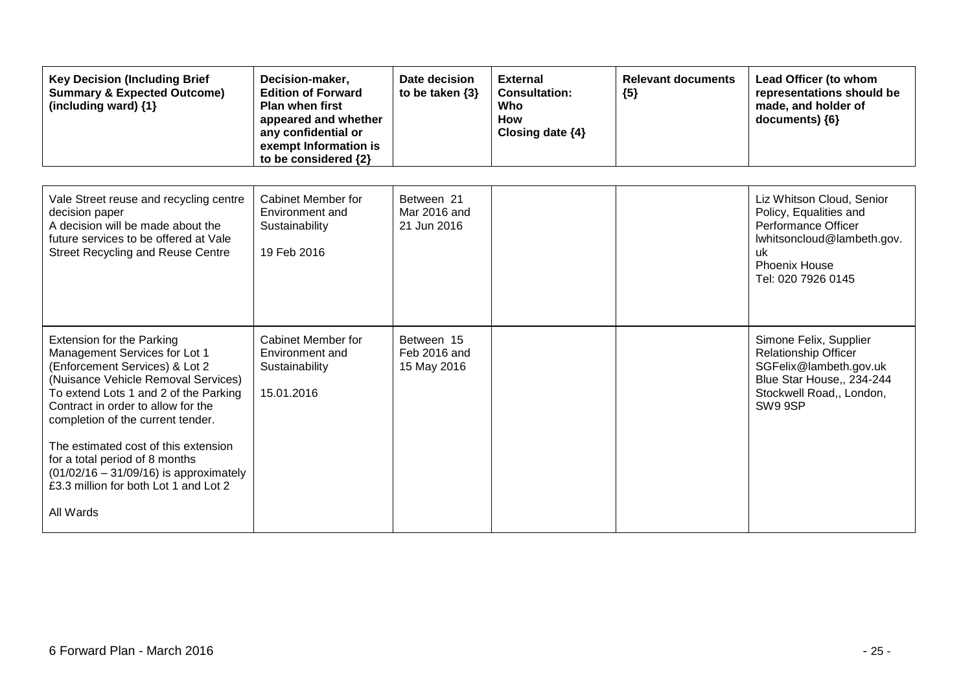| <b>Key Decision (Including Brief</b><br><b>Summary &amp; Expected Outcome)</b><br>(including ward) {1}                                                                                                                                                                                                                                                                                                                                     | Decision-maker,<br><b>Edition of Forward</b><br><b>Plan when first</b><br>appeared and whether<br>any confidential or<br>exempt Information is<br>to be considered {2} | Date decision<br>to be taken $\{3\}$      | <b>External</b><br><b>Consultation:</b><br>Who<br><b>How</b><br>Closing date $\{4\}$ | <b>Relevant documents</b><br>${5}$ | Lead Officer (to whom<br>representations should be<br>made, and holder of<br>documents) {6}                                                                   |
|--------------------------------------------------------------------------------------------------------------------------------------------------------------------------------------------------------------------------------------------------------------------------------------------------------------------------------------------------------------------------------------------------------------------------------------------|------------------------------------------------------------------------------------------------------------------------------------------------------------------------|-------------------------------------------|--------------------------------------------------------------------------------------|------------------------------------|---------------------------------------------------------------------------------------------------------------------------------------------------------------|
| Vale Street reuse and recycling centre<br>decision paper<br>A decision will be made about the<br>future services to be offered at Vale<br><b>Street Recycling and Reuse Centre</b>                                                                                                                                                                                                                                                         | Cabinet Member for<br>Environment and<br>Sustainability<br>19 Feb 2016                                                                                                 | Between 21<br>Mar 2016 and<br>21 Jun 2016 |                                                                                      |                                    | Liz Whitson Cloud, Senior<br>Policy, Equalities and<br>Performance Officer<br>lwhitsoncloud@lambeth.gov.<br>-uk<br><b>Phoenix House</b><br>Tel: 020 7926 0145 |
| <b>Extension for the Parking</b><br>Management Services for Lot 1<br>(Enforcement Services) & Lot 2<br>(Nuisance Vehicle Removal Services)<br>To extend Lots 1 and 2 of the Parking<br>Contract in order to allow for the<br>completion of the current tender.<br>The estimated cost of this extension<br>for a total period of 8 months<br>$(01/02/16 - 31/09/16)$ is approximately<br>£3.3 million for both Lot 1 and Lot 2<br>All Wards | Cabinet Member for<br>Environment and<br>Sustainability<br>15.01.2016                                                                                                  | Between 15<br>Feb 2016 and<br>15 May 2016 |                                                                                      |                                    | Simone Felix, Supplier<br><b>Relationship Officer</b><br>SGFelix@lambeth.gov.uk<br>Blue Star House,, 234-244<br>Stockwell Road,, London,<br>SW9 9SP           |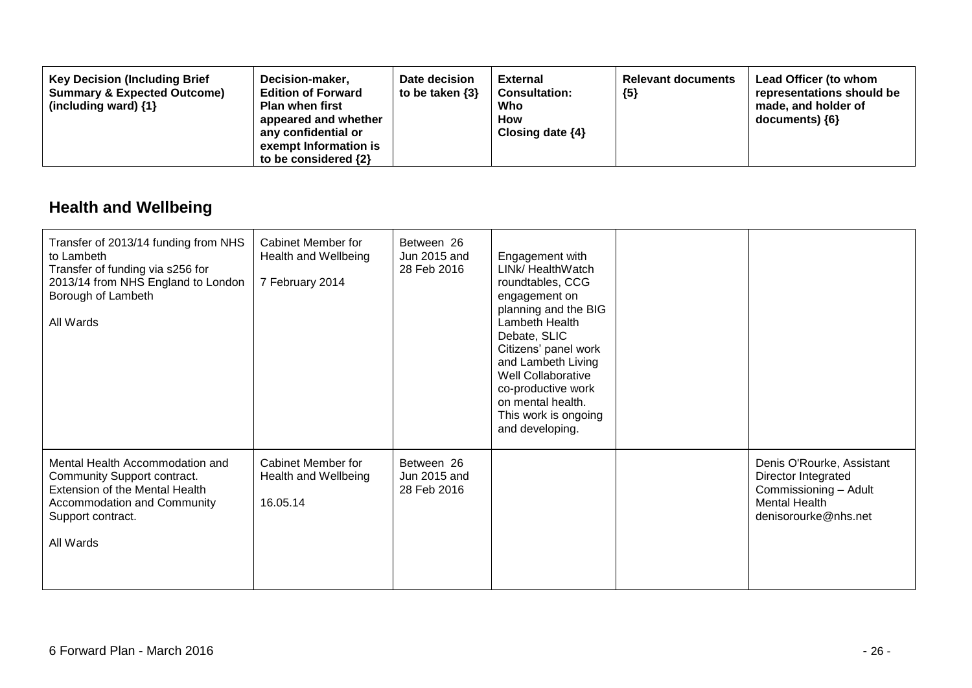| <b>Key Decision (Including Brief</b><br>Decision-maker,<br><b>Summary &amp; Expected Outcome)</b><br><b>Edition of Forward</b><br>(including ward) $\{1\}$<br><b>Plan when first</b><br>appeared and whether<br>any confidential or<br>exempt Information is<br>to be considered $\{2\}$ | Date decision<br>to be taken $\{3\}$ | <b>External</b><br><b>Consultation:</b><br>Who<br><b>How</b><br>Closing date $\{4\}$ | <b>Relevant documents</b><br>${5}$ | Lead Officer (to whom<br>representations should be<br>made, and holder of<br>documents) ${6}$ |
|------------------------------------------------------------------------------------------------------------------------------------------------------------------------------------------------------------------------------------------------------------------------------------------|--------------------------------------|--------------------------------------------------------------------------------------|------------------------------------|-----------------------------------------------------------------------------------------------|
|------------------------------------------------------------------------------------------------------------------------------------------------------------------------------------------------------------------------------------------------------------------------------------------|--------------------------------------|--------------------------------------------------------------------------------------|------------------------------------|-----------------------------------------------------------------------------------------------|

## **Health and Wellbeing**

| Transfer of 2013/14 funding from NHS<br>to Lambeth<br>Transfer of funding via s256 for<br>2013/14 from NHS England to London<br>Borough of Lambeth<br>All Wards   | Cabinet Member for<br>Health and Wellbeing<br>7 February 2014 | Between 26<br>Jun 2015 and<br>28 Feb 2016 | Engagement with<br>LINk/ HealthWatch<br>roundtables, CCG<br>engagement on<br>planning and the BIG<br>Lambeth Health<br>Debate, SLIC<br>Citizens' panel work<br>and Lambeth Living<br><b>Well Collaborative</b><br>co-productive work<br>on mental health.<br>This work is ongoing<br>and developing. |                                                                                                                           |
|-------------------------------------------------------------------------------------------------------------------------------------------------------------------|---------------------------------------------------------------|-------------------------------------------|------------------------------------------------------------------------------------------------------------------------------------------------------------------------------------------------------------------------------------------------------------------------------------------------------|---------------------------------------------------------------------------------------------------------------------------|
| Mental Health Accommodation and<br>Community Support contract.<br>Extension of the Mental Health<br>Accommodation and Community<br>Support contract.<br>All Wards | Cabinet Member for<br>Health and Wellbeing<br>16.05.14        | Between 26<br>Jun 2015 and<br>28 Feb 2016 |                                                                                                                                                                                                                                                                                                      | Denis O'Rourke, Assistant<br>Director Integrated<br>Commissioning - Adult<br><b>Mental Health</b><br>denisorourke@nhs.net |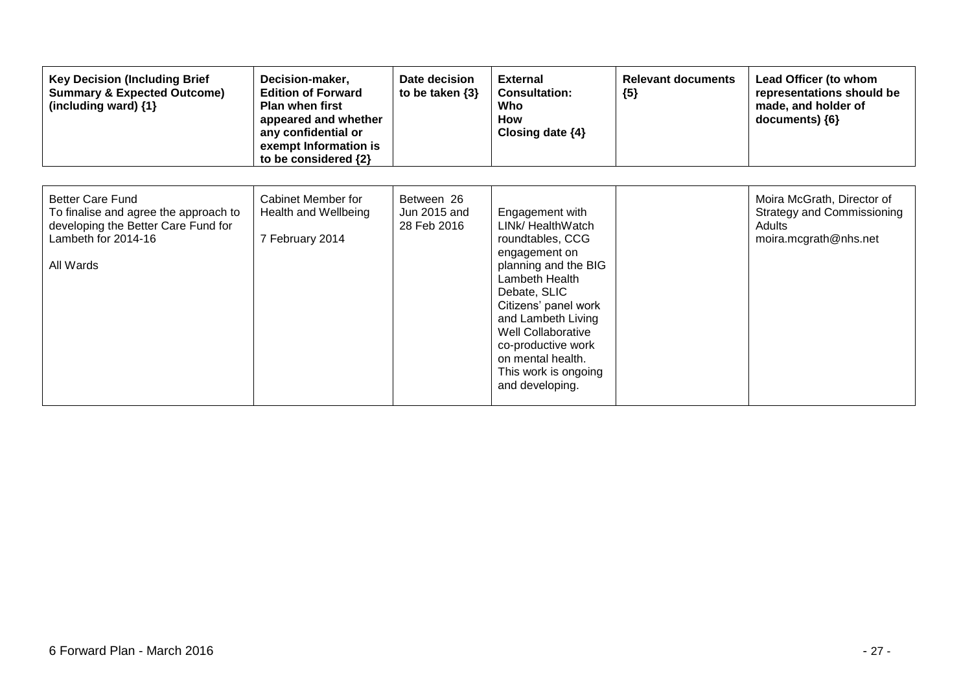| <b>Key Decision (Including Brief</b><br><b>Summary &amp; Expected Outcome)</b><br>(including ward) {1}                                      | Decision-maker,<br><b>Edition of Forward</b><br><b>Plan when first</b><br>appeared and whether<br>any confidential or<br>exempt Information is<br>to be considered {2} | Date decision<br>to be taken $\{3\}$      | <b>External</b><br><b>Consultation:</b><br>Who<br><b>How</b><br>Closing date $\{4\}$                                                                                                                                                                                                          | <b>Relevant documents</b><br>${5}$ | Lead Officer (to whom<br>representations should be<br>made, and holder of<br>documents) ${6}$      |
|---------------------------------------------------------------------------------------------------------------------------------------------|------------------------------------------------------------------------------------------------------------------------------------------------------------------------|-------------------------------------------|-----------------------------------------------------------------------------------------------------------------------------------------------------------------------------------------------------------------------------------------------------------------------------------------------|------------------------------------|----------------------------------------------------------------------------------------------------|
| <b>Better Care Fund</b><br>To finalise and agree the approach to<br>developing the Better Care Fund for<br>Lambeth for 2014-16<br>All Wards | Cabinet Member for<br>Health and Wellbeing<br>7 February 2014                                                                                                          | Between 26<br>Jun 2015 and<br>28 Feb 2016 | Engagement with<br>LINk/ HealthWatch<br>roundtables, CCG<br>engagement on<br>planning and the BIG<br>Lambeth Health<br>Debate, SLIC<br>Citizens' panel work<br>and Lambeth Living<br>Well Collaborative<br>co-productive work<br>on mental health.<br>This work is ongoing<br>and developing. |                                    | Moira McGrath, Director of<br><b>Strategy and Commissioning</b><br>Adults<br>moira.mcgrath@nhs.net |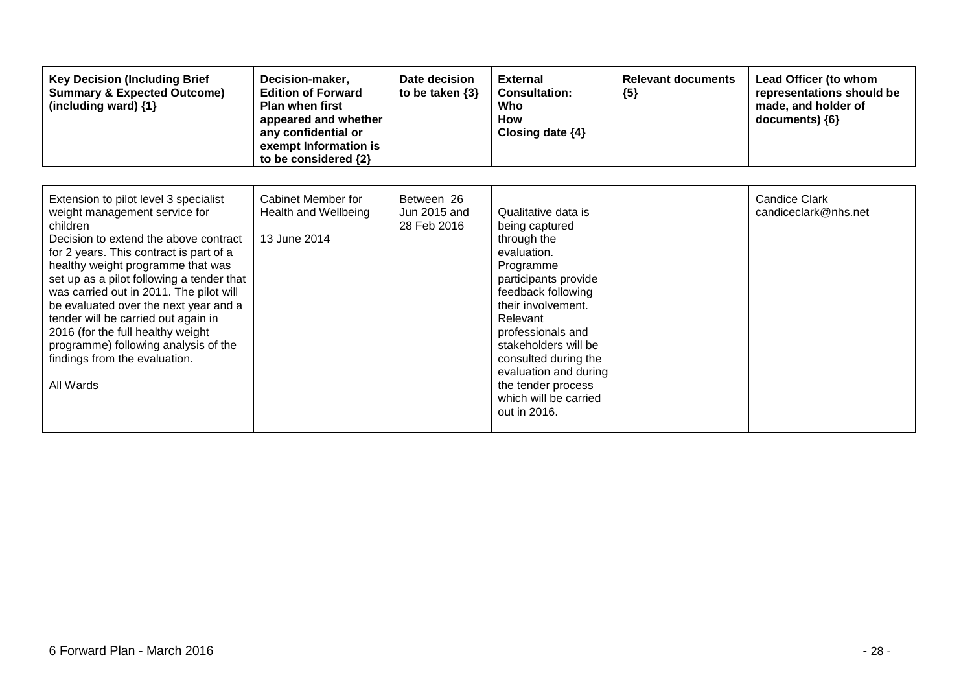| <b>Key Decision (Including Brief</b><br><b>Summary &amp; Expected Outcome)</b><br>(including ward) {1}                                                                                                                                                                                                                                                                                                                                                                                                         | Decision-maker,<br><b>Edition of Forward</b><br><b>Plan when first</b><br>appeared and whether<br>any confidential or<br>exempt Information is<br>to be considered {2} | Date decision<br>to be taken $\{3\}$      | <b>External</b><br><b>Consultation:</b><br>Who<br><b>How</b><br>Closing date {4}                                                                                                                                                                                                                                              | <b>Relevant documents</b><br>${5}$ | Lead Officer (to whom<br>representations should be<br>made, and holder of<br>documents) {6} |
|----------------------------------------------------------------------------------------------------------------------------------------------------------------------------------------------------------------------------------------------------------------------------------------------------------------------------------------------------------------------------------------------------------------------------------------------------------------------------------------------------------------|------------------------------------------------------------------------------------------------------------------------------------------------------------------------|-------------------------------------------|-------------------------------------------------------------------------------------------------------------------------------------------------------------------------------------------------------------------------------------------------------------------------------------------------------------------------------|------------------------------------|---------------------------------------------------------------------------------------------|
| Extension to pilot level 3 specialist<br>weight management service for<br>children<br>Decision to extend the above contract<br>for 2 years. This contract is part of a<br>healthy weight programme that was<br>set up as a pilot following a tender that<br>was carried out in 2011. The pilot will<br>be evaluated over the next year and a<br>tender will be carried out again in<br>2016 (for the full healthy weight<br>programme) following analysis of the<br>findings from the evaluation.<br>All Wards | Cabinet Member for<br>Health and Wellbeing<br>13 June 2014                                                                                                             | Between 26<br>Jun 2015 and<br>28 Feb 2016 | Qualitative data is<br>being captured<br>through the<br>evaluation.<br>Programme<br>participants provide<br>feedback following<br>their involvement.<br>Relevant<br>professionals and<br>stakeholders will be<br>consulted during the<br>evaluation and during<br>the tender process<br>which will be carried<br>out in 2016. |                                    | <b>Candice Clark</b><br>candiceclark@nhs.net                                                |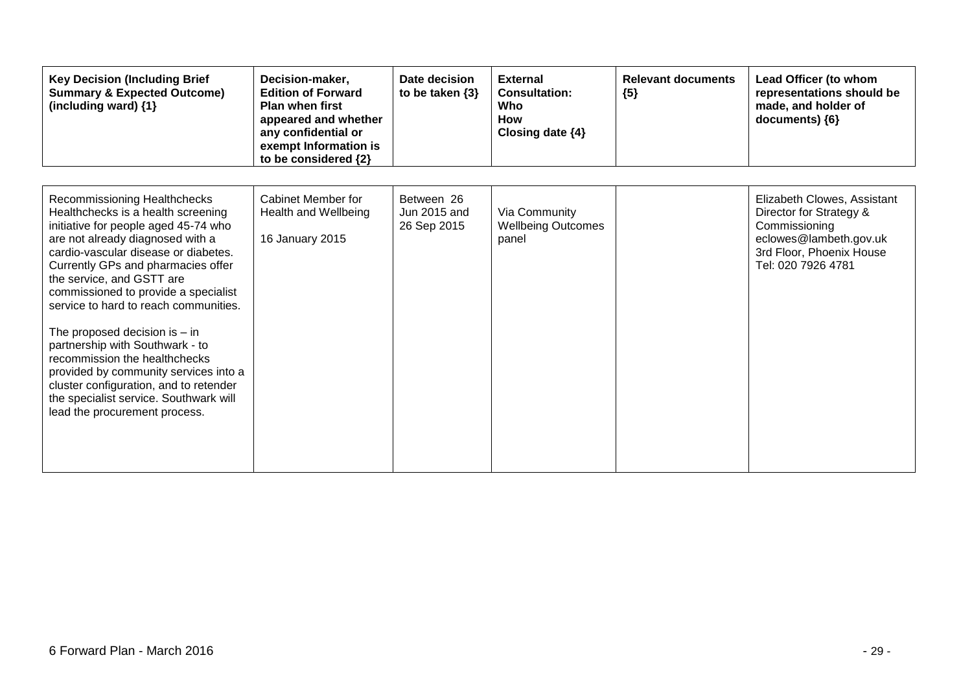| <b>Key Decision (Including Brief</b><br><b>Summary &amp; Expected Outcome)</b><br>(including ward) {1}                                                                                                                                                                                                                                                                                                                                                                                                                                                                                                          | Decision-maker,<br><b>Edition of Forward</b><br><b>Plan when first</b><br>appeared and whether<br>any confidential or<br>exempt Information is<br>to be considered {2} | Date decision<br>to be taken $\{3\}$      | <b>External</b><br><b>Consultation:</b><br>Who<br><b>How</b><br>Closing date $\{4\}$ | <b>Relevant documents</b><br>${5}$ | Lead Officer (to whom<br>representations should be<br>made, and holder of<br>documents) {6}                                                         |
|-----------------------------------------------------------------------------------------------------------------------------------------------------------------------------------------------------------------------------------------------------------------------------------------------------------------------------------------------------------------------------------------------------------------------------------------------------------------------------------------------------------------------------------------------------------------------------------------------------------------|------------------------------------------------------------------------------------------------------------------------------------------------------------------------|-------------------------------------------|--------------------------------------------------------------------------------------|------------------------------------|-----------------------------------------------------------------------------------------------------------------------------------------------------|
| Recommissioning Healthchecks<br>Healthchecks is a health screening<br>initiative for people aged 45-74 who<br>are not already diagnosed with a<br>cardio-vascular disease or diabetes.<br>Currently GPs and pharmacies offer<br>the service, and GSTT are<br>commissioned to provide a specialist<br>service to hard to reach communities.<br>The proposed decision is $-$ in<br>partnership with Southwark - to<br>recommission the healthchecks<br>provided by community services into a<br>cluster configuration, and to retender<br>the specialist service. Southwark will<br>lead the procurement process. | Cabinet Member for<br>Health and Wellbeing<br>16 January 2015                                                                                                          | Between 26<br>Jun 2015 and<br>26 Sep 2015 | Via Community<br><b>Wellbeing Outcomes</b><br>panel                                  |                                    | Elizabeth Clowes, Assistant<br>Director for Strategy &<br>Commissioning<br>eclowes@lambeth.gov.uk<br>3rd Floor, Phoenix House<br>Tel: 020 7926 4781 |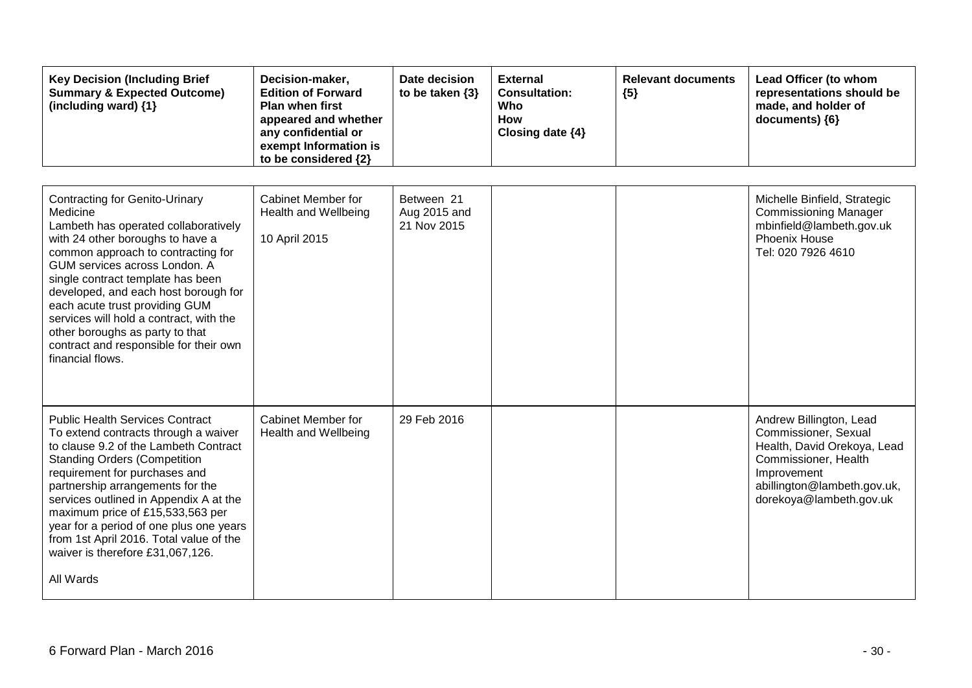| <b>Key Decision (Including Brief</b><br><b>Summary &amp; Expected Outcome)</b><br>(including ward) {1}                                                                                                                                                                                                                                                                                                                                                          | Decision-maker,<br><b>Edition of Forward</b><br>Plan when first<br>appeared and whether<br>any confidential or<br>exempt Information is<br>to be considered {2} | Date decision<br>to be taken $\{3\}$      | <b>External</b><br><b>Consultation:</b><br>Who<br>How<br>Closing date {4} | <b>Relevant documents</b><br>${5}$ | Lead Officer (to whom<br>representations should be<br>made, and holder of<br>documents) {6}                                                                                     |
|-----------------------------------------------------------------------------------------------------------------------------------------------------------------------------------------------------------------------------------------------------------------------------------------------------------------------------------------------------------------------------------------------------------------------------------------------------------------|-----------------------------------------------------------------------------------------------------------------------------------------------------------------|-------------------------------------------|---------------------------------------------------------------------------|------------------------------------|---------------------------------------------------------------------------------------------------------------------------------------------------------------------------------|
| <b>Contracting for Genito-Urinary</b><br>Medicine<br>Lambeth has operated collaboratively<br>with 24 other boroughs to have a<br>common approach to contracting for<br>GUM services across London. A<br>single contract template has been<br>developed, and each host borough for<br>each acute trust providing GUM<br>services will hold a contract, with the<br>other boroughs as party to that<br>contract and responsible for their own<br>financial flows. | Cabinet Member for<br>Health and Wellbeing<br>10 April 2015                                                                                                     | Between 21<br>Aug 2015 and<br>21 Nov 2015 |                                                                           |                                    | Michelle Binfield, Strategic<br><b>Commissioning Manager</b><br>mbinfield@lambeth.gov.uk<br><b>Phoenix House</b><br>Tel: 020 7926 4610                                          |
| <b>Public Health Services Contract</b><br>To extend contracts through a waiver<br>to clause 9.2 of the Lambeth Contract<br><b>Standing Orders (Competition</b><br>requirement for purchases and<br>partnership arrangements for the<br>services outlined in Appendix A at the<br>maximum price of £15,533,563 per<br>year for a period of one plus one years<br>from 1st April 2016. Total value of the<br>waiver is therefore £31,067,126.<br>All Wards        | <b>Cabinet Member for</b><br>Health and Wellbeing                                                                                                               | 29 Feb 2016                               |                                                                           |                                    | Andrew Billington, Lead<br>Commissioner, Sexual<br>Health, David Orekoya, Lead<br>Commissioner, Health<br>Improvement<br>abillington@lambeth.gov.uk,<br>dorekoya@lambeth.gov.uk |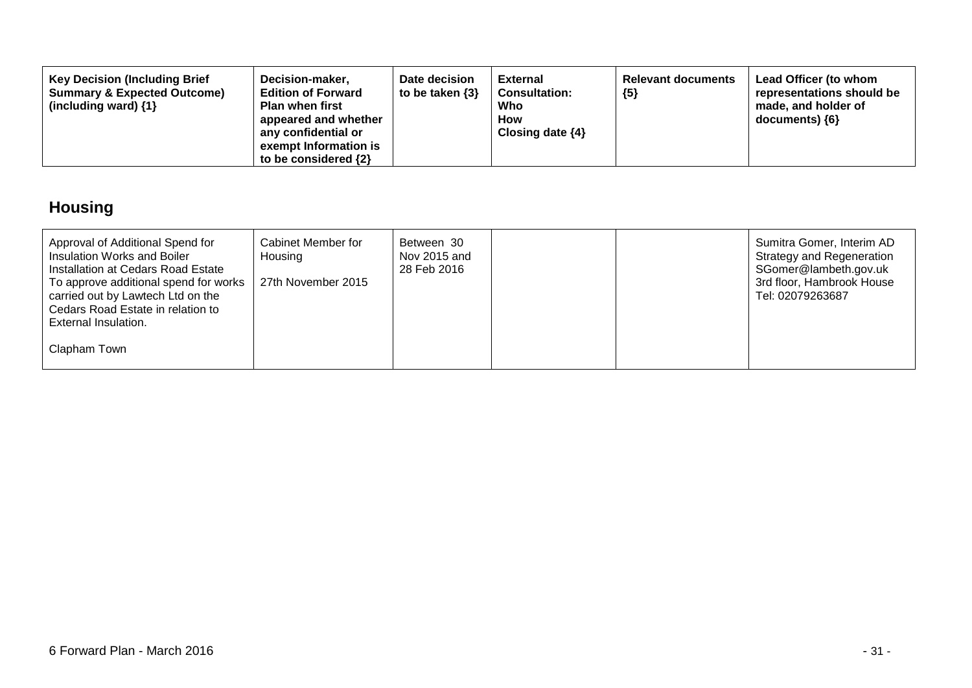| <b>Key Decision (Including Brief</b><br>Decision-maker,<br><b>Summary &amp; Expected Outcome)</b><br><b>Edition of Forward</b><br>(including ward) $\{1\}$<br><b>Plan when first</b><br>appeared and whether<br>any confidential or<br>exempt Information is<br>to be considered $\{2\}$ | Date decision<br>to be taken $\{3\}$ | External<br><b>Consultation:</b><br>Who<br>How<br>Closing date $\{4\}$ | <b>Relevant documents</b><br>${5}$ | Lead Officer (to whom<br>representations should be<br>made, and holder of<br>$documents)$ {6} |
|------------------------------------------------------------------------------------------------------------------------------------------------------------------------------------------------------------------------------------------------------------------------------------------|--------------------------------------|------------------------------------------------------------------------|------------------------------------|-----------------------------------------------------------------------------------------------|
|------------------------------------------------------------------------------------------------------------------------------------------------------------------------------------------------------------------------------------------------------------------------------------------|--------------------------------------|------------------------------------------------------------------------|------------------------------------|-----------------------------------------------------------------------------------------------|

## **Housing**

| Approval of Additional Spend for<br>Insulation Works and Boiler<br>Installation at Cedars Road Estate                                   | Cabinet Member for<br>Housing | Between 30<br>Nov 2015 and<br>28 Feb 2016 |  | Sumitra Gomer, Interim AD<br><b>Strategy and Regeneration</b><br>SGomer@lambeth.gov.uk<br>3rd floor, Hambrook House |
|-----------------------------------------------------------------------------------------------------------------------------------------|-------------------------------|-------------------------------------------|--|---------------------------------------------------------------------------------------------------------------------|
| To approve additional spend for works<br>carried out by Lawtech Ltd on the<br>Cedars Road Estate in relation to<br>External Insulation. | 27th November 2015            |                                           |  | Tel: 02079263687                                                                                                    |
| Clapham Town                                                                                                                            |                               |                                           |  |                                                                                                                     |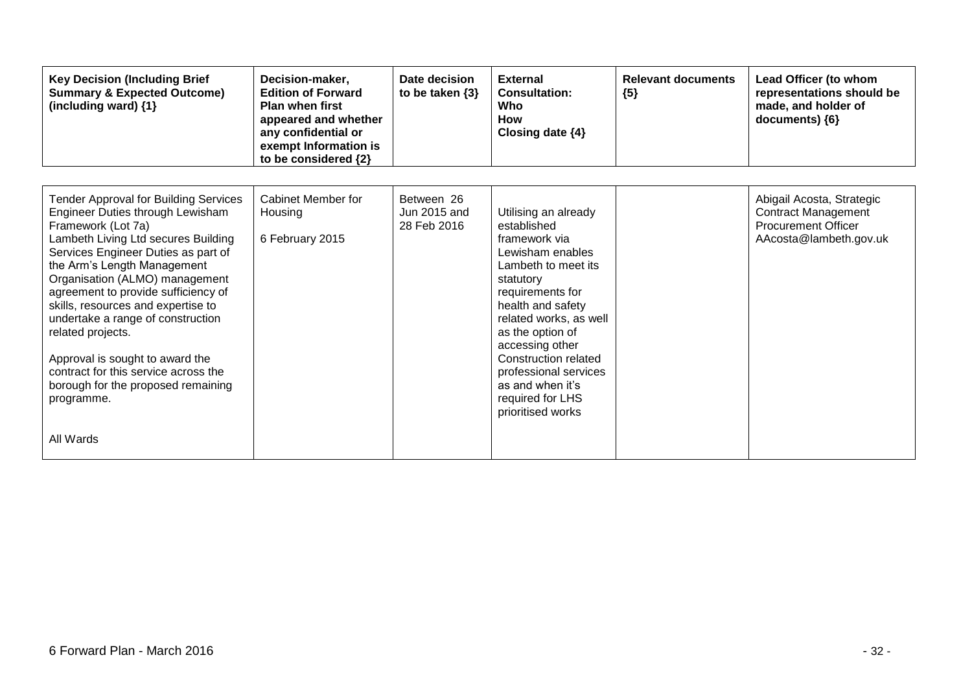| <b>Key Decision (Including Brief</b><br><b>Summary &amp; Expected Outcome)</b><br>(including ward) {1}                                                                                                                                                                                                                                                                                                                                                                                                                                   | Decision-maker,<br><b>Edition of Forward</b><br><b>Plan when first</b><br>appeared and whether<br>any confidential or<br>exempt Information is<br>to be considered {2} | Date decision<br>to be taken $\{3\}$      | <b>External</b><br><b>Consultation:</b><br>Who<br>How<br>Closing date $\{4\}$                                                                                                                                                                                                                                                               | <b>Relevant documents</b><br>${5}$ | Lead Officer (to whom<br>representations should be<br>made, and holder of<br>documents) {6}                     |
|------------------------------------------------------------------------------------------------------------------------------------------------------------------------------------------------------------------------------------------------------------------------------------------------------------------------------------------------------------------------------------------------------------------------------------------------------------------------------------------------------------------------------------------|------------------------------------------------------------------------------------------------------------------------------------------------------------------------|-------------------------------------------|---------------------------------------------------------------------------------------------------------------------------------------------------------------------------------------------------------------------------------------------------------------------------------------------------------------------------------------------|------------------------------------|-----------------------------------------------------------------------------------------------------------------|
| <b>Tender Approval for Building Services</b><br>Engineer Duties through Lewisham<br>Framework (Lot 7a)<br>Lambeth Living Ltd secures Building<br>Services Engineer Duties as part of<br>the Arm's Length Management<br>Organisation (ALMO) management<br>agreement to provide sufficiency of<br>skills, resources and expertise to<br>undertake a range of construction<br>related projects.<br>Approval is sought to award the<br>contract for this service across the<br>borough for the proposed remaining<br>programme.<br>All Wards | Cabinet Member for<br>Housing<br>6 February 2015                                                                                                                       | Between 26<br>Jun 2015 and<br>28 Feb 2016 | Utilising an already<br>established<br>framework via<br>Lewisham enables<br>Lambeth to meet its<br>statutory<br>requirements for<br>health and safety<br>related works, as well<br>as the option of<br>accessing other<br><b>Construction related</b><br>professional services<br>as and when it's<br>required for LHS<br>prioritised works |                                    | Abigail Acosta, Strategic<br><b>Contract Management</b><br><b>Procurement Officer</b><br>AAcosta@lambeth.gov.uk |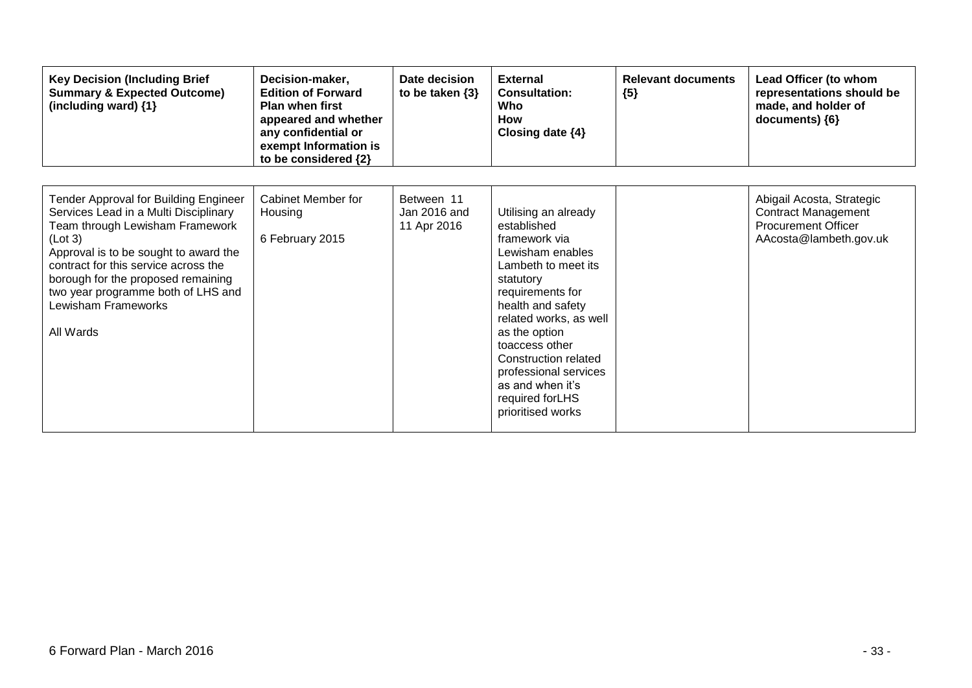| <b>Key Decision (Including Brief</b><br><b>Summary &amp; Expected Outcome)</b><br>(including ward) {1}                                                                                                                                                                                                                        | Decision-maker,<br><b>Edition of Forward</b><br><b>Plan when first</b><br>appeared and whether<br>any confidential or<br>exempt Information is<br>to be considered {2} | Date decision<br>to be taken $\{3\}$      | <b>External</b><br><b>Consultation:</b><br>Who<br><b>How</b><br>Closing date $\{4\}$                                                                                                                                                                                                                                             | <b>Relevant documents</b><br>${5}$ | Lead Officer (to whom<br>representations should be<br>made, and holder of<br>documents) ${6}$                   |
|-------------------------------------------------------------------------------------------------------------------------------------------------------------------------------------------------------------------------------------------------------------------------------------------------------------------------------|------------------------------------------------------------------------------------------------------------------------------------------------------------------------|-------------------------------------------|----------------------------------------------------------------------------------------------------------------------------------------------------------------------------------------------------------------------------------------------------------------------------------------------------------------------------------|------------------------------------|-----------------------------------------------------------------------------------------------------------------|
| Tender Approval for Building Engineer<br>Services Lead in a Multi Disciplinary<br>Team through Lewisham Framework<br>(Lot 3)<br>Approval is to be sought to award the<br>contract for this service across the<br>borough for the proposed remaining<br>two year programme both of LHS and<br>Lewisham Frameworks<br>All Wards | <b>Cabinet Member for</b><br>Housing<br>6 February 2015                                                                                                                | Between 11<br>Jan 2016 and<br>11 Apr 2016 | Utilising an already<br>established<br>framework via<br>Lewisham enables<br>Lambeth to meet its<br>statutory<br>requirements for<br>health and safety<br>related works, as well<br>as the option<br>toaccess other<br>Construction related<br>professional services<br>as and when it's<br>required for LHS<br>prioritised works |                                    | Abigail Acosta, Strategic<br><b>Contract Management</b><br><b>Procurement Officer</b><br>AAcosta@lambeth.gov.uk |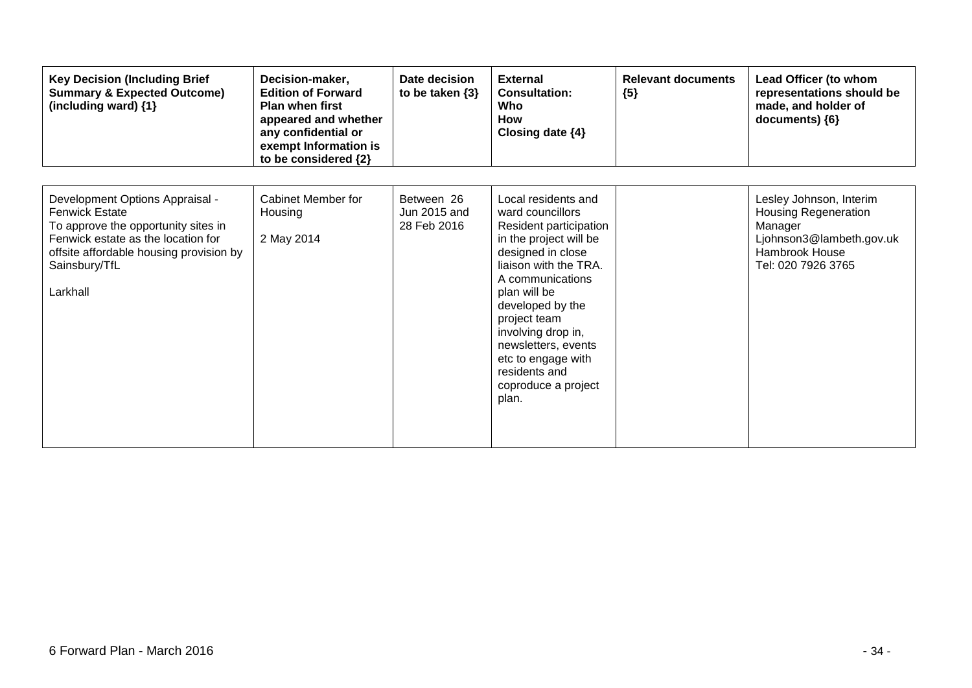| <b>Key Decision (Including Brief</b><br><b>Summary &amp; Expected Outcome)</b><br>(including ward) {1}                                                                                                        | Decision-maker,<br><b>Edition of Forward</b><br><b>Plan when first</b><br>appeared and whether<br>any confidential or<br>exempt Information is<br>to be considered {2} | Date decision<br>to be taken $\{3\}$      | <b>External</b><br><b>Consultation:</b><br>Who<br><b>How</b><br>Closing date $\{4\}$                                                                                                                                                                                                                                                  | <b>Relevant documents</b><br>${5}$ | Lead Officer (to whom<br>representations should be<br>made, and holder of<br>documents) {6}                                           |
|---------------------------------------------------------------------------------------------------------------------------------------------------------------------------------------------------------------|------------------------------------------------------------------------------------------------------------------------------------------------------------------------|-------------------------------------------|---------------------------------------------------------------------------------------------------------------------------------------------------------------------------------------------------------------------------------------------------------------------------------------------------------------------------------------|------------------------------------|---------------------------------------------------------------------------------------------------------------------------------------|
| Development Options Appraisal -<br><b>Fenwick Estate</b><br>To approve the opportunity sites in<br>Fenwick estate as the location for<br>offsite affordable housing provision by<br>Sainsbury/TfL<br>Larkhall | Cabinet Member for<br>Housing<br>2 May 2014                                                                                                                            | Between 26<br>Jun 2015 and<br>28 Feb 2016 | Local residents and<br>ward councillors<br>Resident participation<br>in the project will be<br>designed in close<br>liaison with the TRA.<br>A communications<br>plan will be<br>developed by the<br>project team<br>involving drop in,<br>newsletters, events<br>etc to engage with<br>residents and<br>coproduce a project<br>plan. |                                    | Lesley Johnson, Interim<br><b>Housing Regeneration</b><br>Manager<br>Ljohnson3@lambeth.gov.uk<br>Hambrook House<br>Tel: 020 7926 3765 |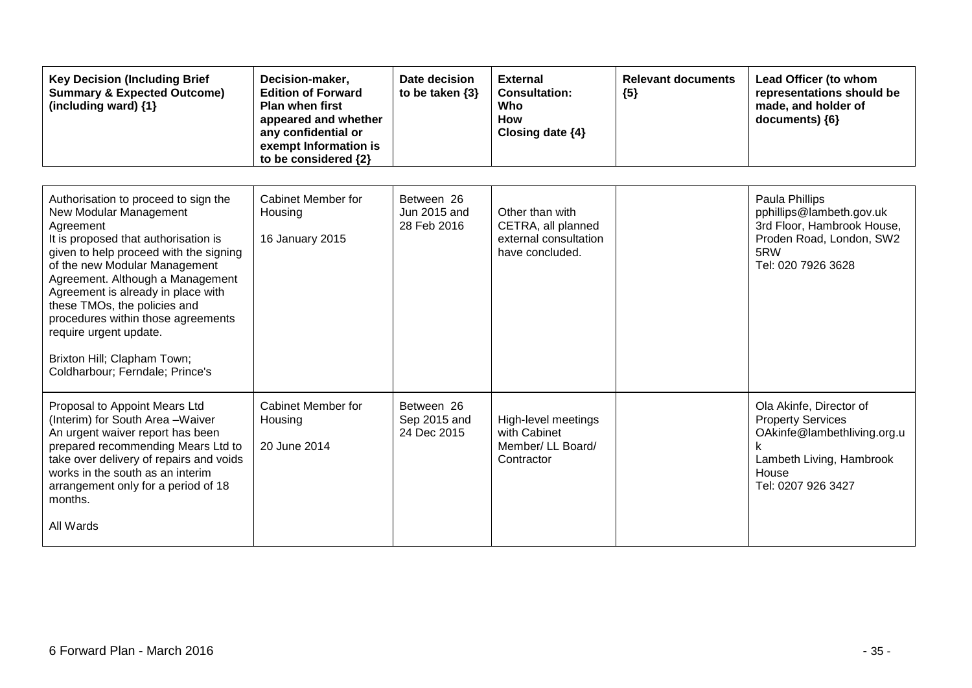| <b>Key Decision (Including Brief</b><br><b>Summary &amp; Expected Outcome)</b><br>(including ward) {1}                                                                                                                                                                                                                                                                                                                                     | Decision-maker,<br><b>Edition of Forward</b><br><b>Plan when first</b><br>appeared and whether<br>any confidential or<br>exempt Information is<br>to be considered {2} | Date decision<br>to be taken $\{3\}$      | <b>External</b><br><b>Consultation:</b><br>Who<br>How<br>Closing date {4}         | <b>Relevant documents</b><br>${5}$ | Lead Officer (to whom<br>representations should be<br>made, and holder of<br>documents) {6}                                                   |
|--------------------------------------------------------------------------------------------------------------------------------------------------------------------------------------------------------------------------------------------------------------------------------------------------------------------------------------------------------------------------------------------------------------------------------------------|------------------------------------------------------------------------------------------------------------------------------------------------------------------------|-------------------------------------------|-----------------------------------------------------------------------------------|------------------------------------|-----------------------------------------------------------------------------------------------------------------------------------------------|
| Authorisation to proceed to sign the<br>New Modular Management<br>Agreement<br>It is proposed that authorisation is<br>given to help proceed with the signing<br>of the new Modular Management<br>Agreement. Although a Management<br>Agreement is already in place with<br>these TMOs, the policies and<br>procedures within those agreements<br>require urgent update.<br>Brixton Hill; Clapham Town;<br>Coldharbour; Ferndale; Prince's | <b>Cabinet Member for</b><br>Housing<br>16 January 2015                                                                                                                | Between 26<br>Jun 2015 and<br>28 Feb 2016 | Other than with<br>CETRA, all planned<br>external consultation<br>have concluded. |                                    | Paula Phillips<br>pphillips@lambeth.gov.uk<br>3rd Floor, Hambrook House,<br>Proden Road, London, SW2<br>5RW<br>Tel: 020 7926 3628             |
| Proposal to Appoint Mears Ltd<br>(Interim) for South Area - Waiver<br>An urgent waiver report has been<br>prepared recommending Mears Ltd to<br>take over delivery of repairs and voids<br>works in the south as an interim<br>arrangement only for a period of 18<br>months.<br>All Wards                                                                                                                                                 | Cabinet Member for<br>Housing<br>20 June 2014                                                                                                                          | Between 26<br>Sep 2015 and<br>24 Dec 2015 | High-level meetings<br>with Cabinet<br>Member/ LL Board/<br>Contractor            |                                    | Ola Akinfe, Director of<br><b>Property Services</b><br>OAkinfe@lambethliving.org.u<br>Lambeth Living, Hambrook<br>House<br>Tel: 0207 926 3427 |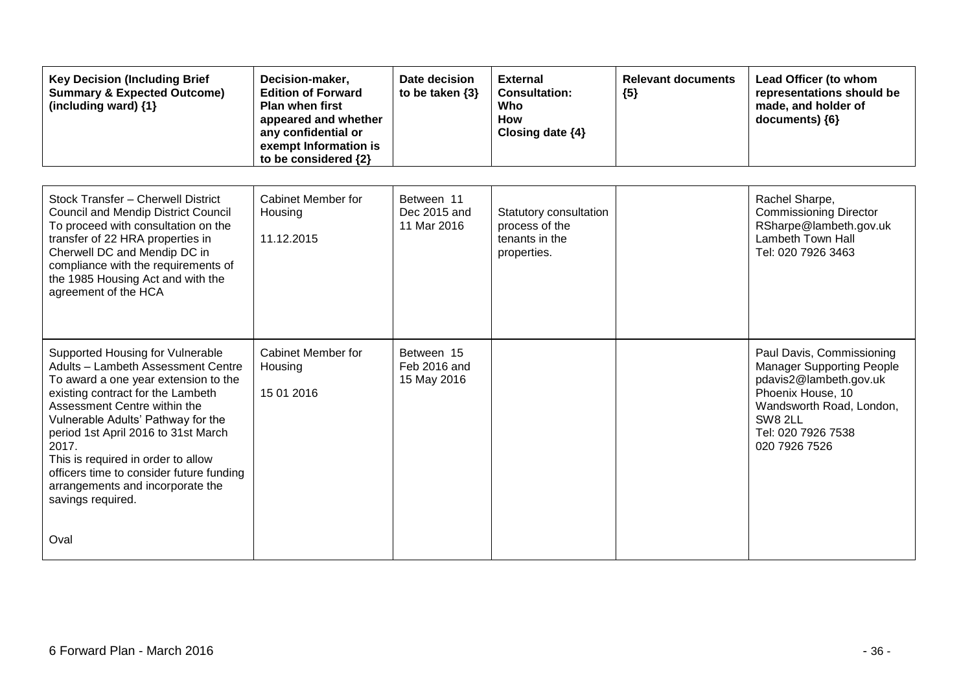| <b>Key Decision (Including Brief</b><br><b>Summary &amp; Expected Outcome)</b><br>(including ward) {1}                                                                                                                                                                                                                                                                                                               | Decision-maker,<br><b>Edition of Forward</b><br><b>Plan when first</b><br>appeared and whether<br>any confidential or<br>exempt Information is<br>to be considered {2} | Date decision<br>to be taken $\{3\}$      | <b>External</b><br><b>Consultation:</b><br>Who<br><b>How</b><br>Closing date {4} | <b>Relevant documents</b><br>${5}$ | Lead Officer (to whom<br>representations should be<br>made, and holder of<br>documents) {6}                                                                                                |
|----------------------------------------------------------------------------------------------------------------------------------------------------------------------------------------------------------------------------------------------------------------------------------------------------------------------------------------------------------------------------------------------------------------------|------------------------------------------------------------------------------------------------------------------------------------------------------------------------|-------------------------------------------|----------------------------------------------------------------------------------|------------------------------------|--------------------------------------------------------------------------------------------------------------------------------------------------------------------------------------------|
| Stock Transfer - Cherwell District<br><b>Council and Mendip District Council</b><br>To proceed with consultation on the<br>transfer of 22 HRA properties in<br>Cherwell DC and Mendip DC in<br>compliance with the requirements of<br>the 1985 Housing Act and with the<br>agreement of the HCA                                                                                                                      | Cabinet Member for<br>Housing<br>11.12.2015                                                                                                                            | Between 11<br>Dec 2015 and<br>11 Mar 2016 | Statutory consultation<br>process of the<br>tenants in the<br>properties.        |                                    | Rachel Sharpe,<br><b>Commissioning Director</b><br>RSharpe@lambeth.gov.uk<br><b>Lambeth Town Hall</b><br>Tel: 020 7926 3463                                                                |
| Supported Housing for Vulnerable<br>Adults - Lambeth Assessment Centre<br>To award a one year extension to the<br>existing contract for the Lambeth<br>Assessment Centre within the<br>Vulnerable Adults' Pathway for the<br>period 1st April 2016 to 31st March<br>2017.<br>This is required in order to allow<br>officers time to consider future funding<br>arrangements and incorporate the<br>savings required. | <b>Cabinet Member for</b><br>Housing<br>15 01 2016                                                                                                                     | Between 15<br>Feb 2016 and<br>15 May 2016 |                                                                                  |                                    | Paul Davis, Commissioning<br><b>Manager Supporting People</b><br>pdavis2@lambeth.gov.uk<br>Phoenix House, 10<br>Wandsworth Road, London,<br>SW8 2LL<br>Tel: 020 7926 7538<br>020 7926 7526 |
| Oval                                                                                                                                                                                                                                                                                                                                                                                                                 |                                                                                                                                                                        |                                           |                                                                                  |                                    |                                                                                                                                                                                            |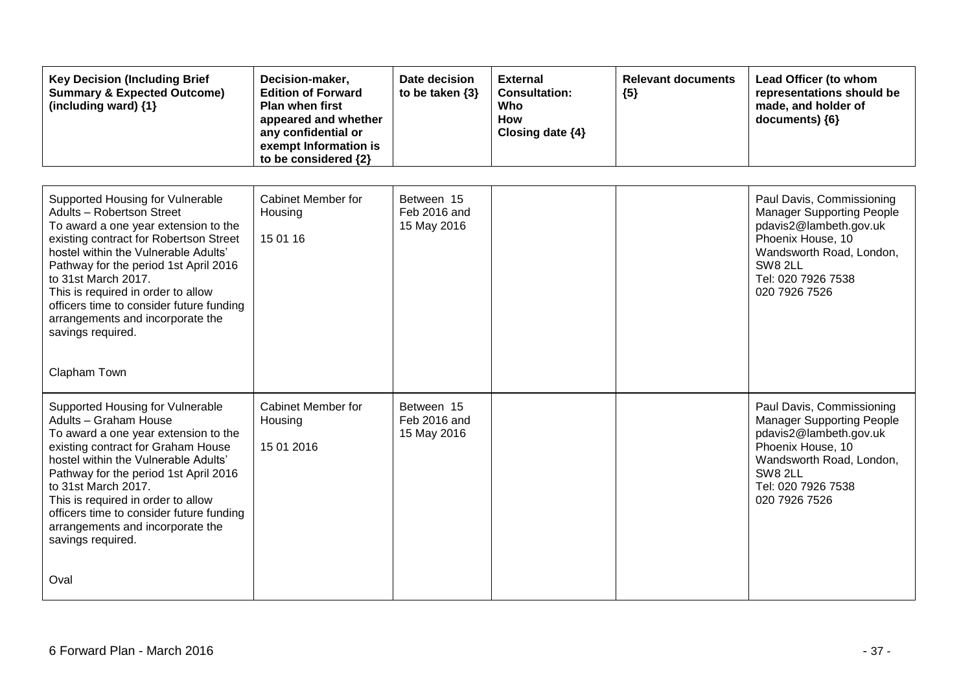| <b>Key Decision (Including Brief</b><br><b>Summary &amp; Expected Outcome)</b><br>(including ward) {1}                                                                                                                                                                                                                                                                                             | Decision-maker,<br><b>Edition of Forward</b><br><b>Plan when first</b><br>appeared and whether<br>any confidential or<br>exempt Information is<br>to be considered {2} | Date decision<br>to be taken $\{3\}$      | <b>External</b><br><b>Consultation:</b><br>Who<br><b>How</b><br>Closing date {4} | <b>Relevant documents</b><br>${5}$ | Lead Officer (to whom<br>representations should be<br>made, and holder of<br>documents) {6}                                                                                                       |
|----------------------------------------------------------------------------------------------------------------------------------------------------------------------------------------------------------------------------------------------------------------------------------------------------------------------------------------------------------------------------------------------------|------------------------------------------------------------------------------------------------------------------------------------------------------------------------|-------------------------------------------|----------------------------------------------------------------------------------|------------------------------------|---------------------------------------------------------------------------------------------------------------------------------------------------------------------------------------------------|
| Supported Housing for Vulnerable<br>Adults - Robertson Street<br>To award a one year extension to the<br>existing contract for Robertson Street<br>hostel within the Vulnerable Adults'<br>Pathway for the period 1st April 2016<br>to 31st March 2017.<br>This is required in order to allow<br>officers time to consider future funding<br>arrangements and incorporate the<br>savings required. | Cabinet Member for<br>Housing<br>15 01 16                                                                                                                              | Between 15<br>Feb 2016 and<br>15 May 2016 |                                                                                  |                                    | Paul Davis, Commissioning<br><b>Manager Supporting People</b><br>pdavis2@lambeth.gov.uk<br>Phoenix House, 10<br>Wandsworth Road, London,<br><b>SW8 2LL</b><br>Tel: 020 7926 7538<br>020 7926 7526 |
| Clapham Town                                                                                                                                                                                                                                                                                                                                                                                       |                                                                                                                                                                        |                                           |                                                                                  |                                    |                                                                                                                                                                                                   |
| Supported Housing for Vulnerable<br>Adults - Graham House<br>To award a one year extension to the<br>existing contract for Graham House<br>hostel within the Vulnerable Adults'<br>Pathway for the period 1st April 2016<br>to 31st March 2017.<br>This is required in order to allow<br>officers time to consider future funding<br>arrangements and incorporate the<br>savings required.         | <b>Cabinet Member for</b><br>Housing<br>15 01 2016                                                                                                                     | Between 15<br>Feb 2016 and<br>15 May 2016 |                                                                                  |                                    | Paul Davis, Commissioning<br><b>Manager Supporting People</b><br>pdavis2@lambeth.gov.uk<br>Phoenix House, 10<br>Wandsworth Road, London,<br>SW8 2LL<br>Tel: 020 7926 7538<br>020 7926 7526        |
| Oval                                                                                                                                                                                                                                                                                                                                                                                               |                                                                                                                                                                        |                                           |                                                                                  |                                    |                                                                                                                                                                                                   |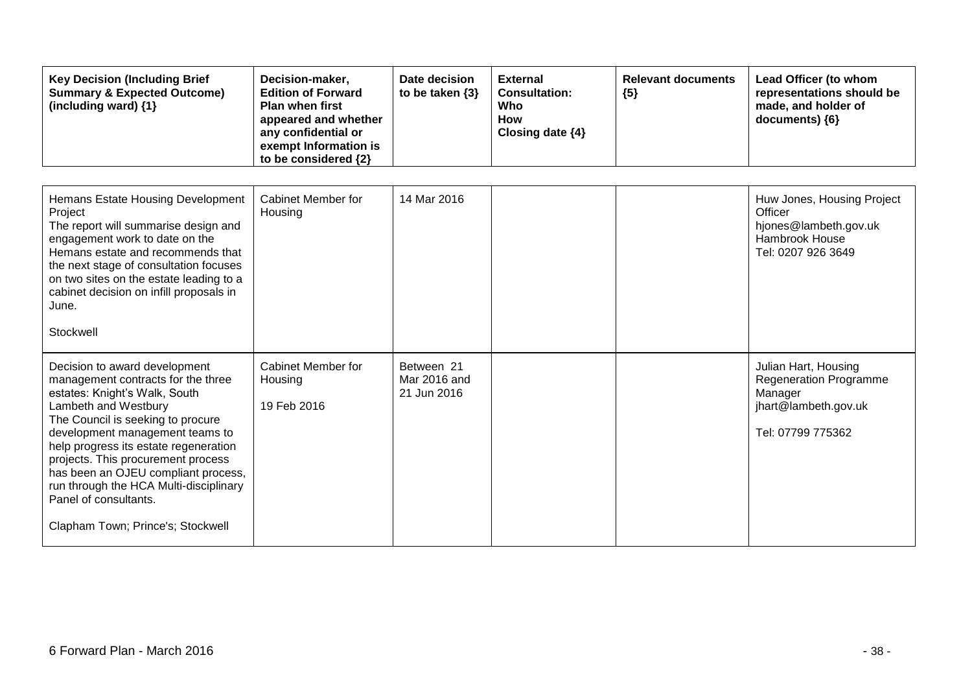| <b>Key Decision (Including Brief</b><br><b>Summary &amp; Expected Outcome)</b><br>(including ward) {1}                                                                                                                                                                                                                                                                                                                             | Decision-maker,<br><b>Edition of Forward</b><br><b>Plan when first</b><br>appeared and whether<br>any confidential or<br>exempt Information is<br>to be considered {2} | Date decision<br>to be taken $\{3\}$      | <b>External</b><br><b>Consultation:</b><br>Who<br><b>How</b><br>Closing date {4} | <b>Relevant documents</b><br>${5}$ | Lead Officer (to whom<br>representations should be<br>made, and holder of<br>documents) {6}                   |
|------------------------------------------------------------------------------------------------------------------------------------------------------------------------------------------------------------------------------------------------------------------------------------------------------------------------------------------------------------------------------------------------------------------------------------|------------------------------------------------------------------------------------------------------------------------------------------------------------------------|-------------------------------------------|----------------------------------------------------------------------------------|------------------------------------|---------------------------------------------------------------------------------------------------------------|
| Hemans Estate Housing Development<br>Project<br>The report will summarise design and<br>engagement work to date on the<br>Hemans estate and recommends that<br>the next stage of consultation focuses<br>on two sites on the estate leading to a<br>cabinet decision on infill proposals in<br>June.<br>Stockwell                                                                                                                  | <b>Cabinet Member for</b><br>Housing                                                                                                                                   | 14 Mar 2016                               |                                                                                  |                                    | Huw Jones, Housing Project<br>Officer<br>hjones@lambeth.gov.uk<br>Hambrook House<br>Tel: 0207 926 3649        |
| Decision to award development<br>management contracts for the three<br>estates: Knight's Walk, South<br>Lambeth and Westbury<br>The Council is seeking to procure<br>development management teams to<br>help progress its estate regeneration<br>projects. This procurement process<br>has been an OJEU compliant process,<br>run through the HCA Multi-disciplinary<br>Panel of consultants.<br>Clapham Town; Prince's; Stockwell | Cabinet Member for<br>Housing<br>19 Feb 2016                                                                                                                           | Between 21<br>Mar 2016 and<br>21 Jun 2016 |                                                                                  |                                    | Julian Hart, Housing<br><b>Regeneration Programme</b><br>Manager<br>jhart@lambeth.gov.uk<br>Tel: 07799 775362 |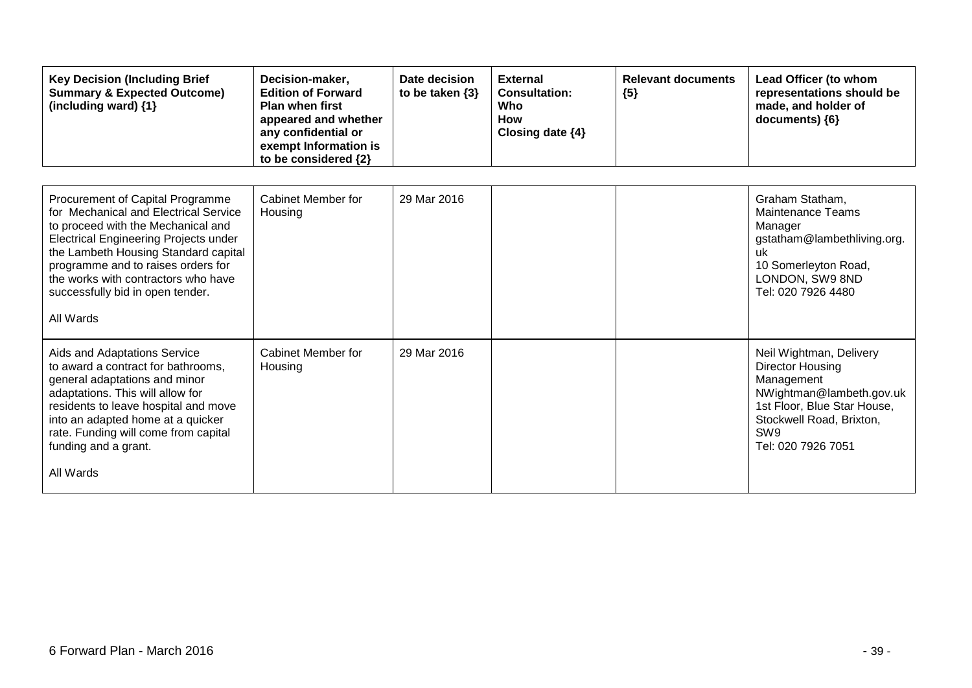| <b>Key Decision (Including Brief</b><br><b>Summary &amp; Expected Outcome)</b><br>(including ward) {1}                                                                                                                                                                                                                                | Decision-maker,<br><b>Edition of Forward</b><br><b>Plan when first</b><br>appeared and whether<br>any confidential or<br>exempt Information is<br>to be considered {2} | Date decision<br>to be taken $\{3\}$ | <b>External</b><br><b>Consultation:</b><br>Who<br><b>How</b><br>Closing date $\{4\}$ | <b>Relevant documents</b><br>${5}$ | Lead Officer (to whom<br>representations should be<br>made, and holder of<br>documents) {6}                                                                                                      |
|---------------------------------------------------------------------------------------------------------------------------------------------------------------------------------------------------------------------------------------------------------------------------------------------------------------------------------------|------------------------------------------------------------------------------------------------------------------------------------------------------------------------|--------------------------------------|--------------------------------------------------------------------------------------|------------------------------------|--------------------------------------------------------------------------------------------------------------------------------------------------------------------------------------------------|
| Procurement of Capital Programme<br>for Mechanical and Electrical Service<br>to proceed with the Mechanical and<br><b>Electrical Engineering Projects under</b><br>the Lambeth Housing Standard capital<br>programme and to raises orders for<br>the works with contractors who have<br>successfully bid in open tender.<br>All Wards | <b>Cabinet Member for</b><br>Housing                                                                                                                                   | 29 Mar 2016                          |                                                                                      |                                    | Graham Statham,<br><b>Maintenance Teams</b><br>Manager<br>gstatham@lambethliving.org.<br>uk<br>10 Somerleyton Road,<br>LONDON, SW9 8ND<br>Tel: 020 7926 4480                                     |
| Aids and Adaptations Service<br>to award a contract for bathrooms,<br>general adaptations and minor<br>adaptations. This will allow for<br>residents to leave hospital and move<br>into an adapted home at a quicker<br>rate. Funding will come from capital<br>funding and a grant.<br>All Wards                                     | Cabinet Member for<br>Housing                                                                                                                                          | 29 Mar 2016                          |                                                                                      |                                    | Neil Wightman, Delivery<br><b>Director Housing</b><br>Management<br>NWightman@lambeth.gov.uk<br>1st Floor, Blue Star House,<br>Stockwell Road, Brixton,<br>SW <sub>9</sub><br>Tel: 020 7926 7051 |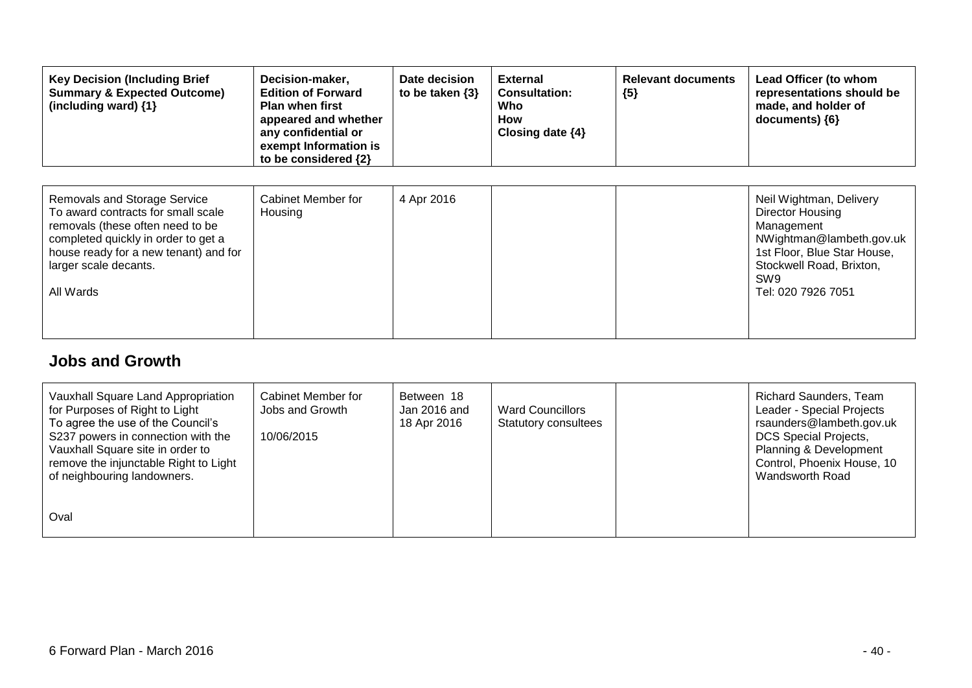| <b>Key Decision (Including Brief</b><br><b>Summary &amp; Expected Outcome)</b><br>(including ward) {1}                                                                                                                              | Decision-maker,<br><b>Edition of Forward</b><br><b>Plan when first</b><br>appeared and whether<br>any confidential or<br>exempt Information is<br>to be considered {2} | Date decision<br>to be taken $\{3\}$ | <b>External</b><br><b>Consultation:</b><br>Who<br>How<br>Closing date $\{4\}$ | <b>Relevant documents</b><br>${5}$ | Lead Officer (to whom<br>representations should be<br>made, and holder of<br>documents) ${6}$                                                                                             |
|-------------------------------------------------------------------------------------------------------------------------------------------------------------------------------------------------------------------------------------|------------------------------------------------------------------------------------------------------------------------------------------------------------------------|--------------------------------------|-------------------------------------------------------------------------------|------------------------------------|-------------------------------------------------------------------------------------------------------------------------------------------------------------------------------------------|
| <b>Removals and Storage Service</b><br>To award contracts for small scale<br>removals (these often need to be<br>completed quickly in order to get a<br>house ready for a new tenant) and for<br>larger scale decants.<br>All Wards | Cabinet Member for<br>Housing                                                                                                                                          | 4 Apr 2016                           |                                                                               |                                    | Neil Wightman, Delivery<br>Director Housing<br>Management<br>NWightman@lambeth.gov.uk<br>1st Floor, Blue Star House,<br>Stockwell Road, Brixton,<br>SW <sub>9</sub><br>Tel: 020 7926 7051 |

#### **Jobs and Growth**

| Vauxhall Square Land Appropriation<br>for Purposes of Right to Light<br>To agree the use of the Council's<br>S237 powers in connection with the<br>Vauxhall Square site in order to<br>remove the injunctable Right to Light<br>of neighbouring landowners. | Cabinet Member for<br>Jobs and Growth<br>10/06/2015 | Between 18<br>Jan 2016 and<br>18 Apr 2016 | <b>Ward Councillors</b><br><b>Statutory consultees</b> | <b>Richard Saunders, Team</b><br>Leader - Special Projects<br>rsaunders@lambeth.gov.uk<br><b>DCS Special Projects,</b><br>Planning & Development<br>Control, Phoenix House, 10<br>Wandsworth Road |
|-------------------------------------------------------------------------------------------------------------------------------------------------------------------------------------------------------------------------------------------------------------|-----------------------------------------------------|-------------------------------------------|--------------------------------------------------------|---------------------------------------------------------------------------------------------------------------------------------------------------------------------------------------------------|
| Oval                                                                                                                                                                                                                                                        |                                                     |                                           |                                                        |                                                                                                                                                                                                   |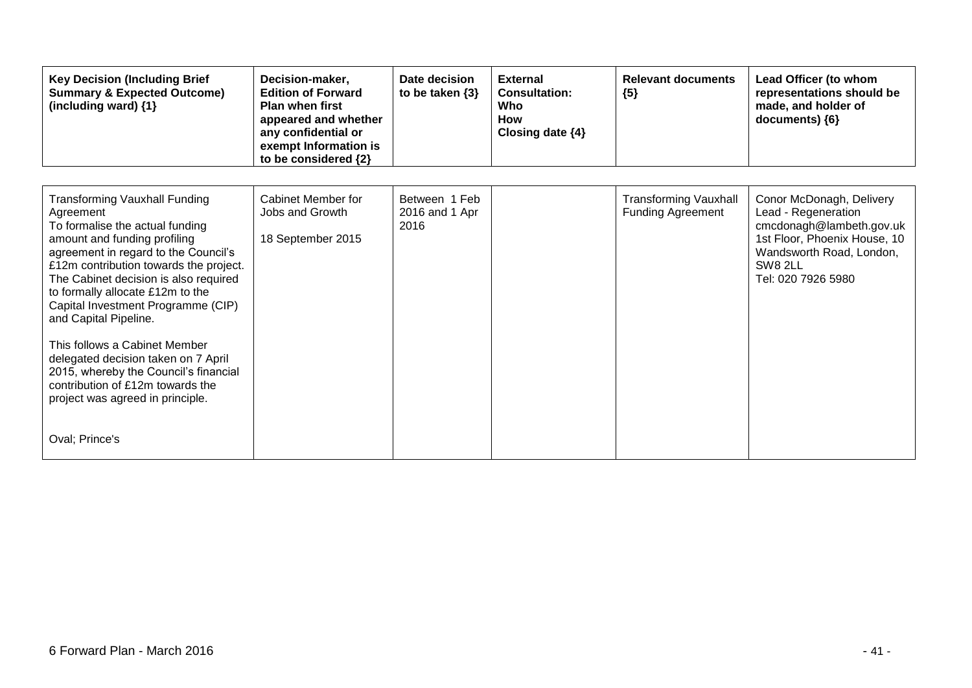| <b>Key Decision (Including Brief</b><br><b>Summary &amp; Expected Outcome)</b><br>(including ward) {1}                                                                                                                                                                                                                                                                                                                                                                                                                                                        | Decision-maker,<br><b>Edition of Forward</b><br><b>Plan when first</b><br>appeared and whether<br>any confidential or<br>exempt Information is<br>to be considered {2} | Date decision<br>to be taken $\{3\}$    | <b>External</b><br><b>Consultation:</b><br>Who<br><b>How</b><br>Closing date $\{4\}$ | <b>Relevant documents</b><br>${5}$                       | Lead Officer (to whom<br>representations should be<br>made, and holder of<br>documents) {6}                                                                              |
|---------------------------------------------------------------------------------------------------------------------------------------------------------------------------------------------------------------------------------------------------------------------------------------------------------------------------------------------------------------------------------------------------------------------------------------------------------------------------------------------------------------------------------------------------------------|------------------------------------------------------------------------------------------------------------------------------------------------------------------------|-----------------------------------------|--------------------------------------------------------------------------------------|----------------------------------------------------------|--------------------------------------------------------------------------------------------------------------------------------------------------------------------------|
| <b>Transforming Vauxhall Funding</b><br>Agreement<br>To formalise the actual funding<br>amount and funding profiling<br>agreement in regard to the Council's<br>£12m contribution towards the project.<br>The Cabinet decision is also required<br>to formally allocate £12m to the<br>Capital Investment Programme (CIP)<br>and Capital Pipeline.<br>This follows a Cabinet Member<br>delegated decision taken on 7 April<br>2015, whereby the Council's financial<br>contribution of £12m towards the<br>project was agreed in principle.<br>Oval; Prince's | Cabinet Member for<br>Jobs and Growth<br>18 September 2015                                                                                                             | Between 1 Feb<br>2016 and 1 Apr<br>2016 |                                                                                      | <b>Transforming Vauxhall</b><br><b>Funding Agreement</b> | Conor McDonagh, Delivery<br>Lead - Regeneration<br>cmcdonagh@lambeth.gov.uk<br>1st Floor, Phoenix House, 10<br>Wandsworth Road, London,<br>SW8 2LL<br>Tel: 020 7926 5980 |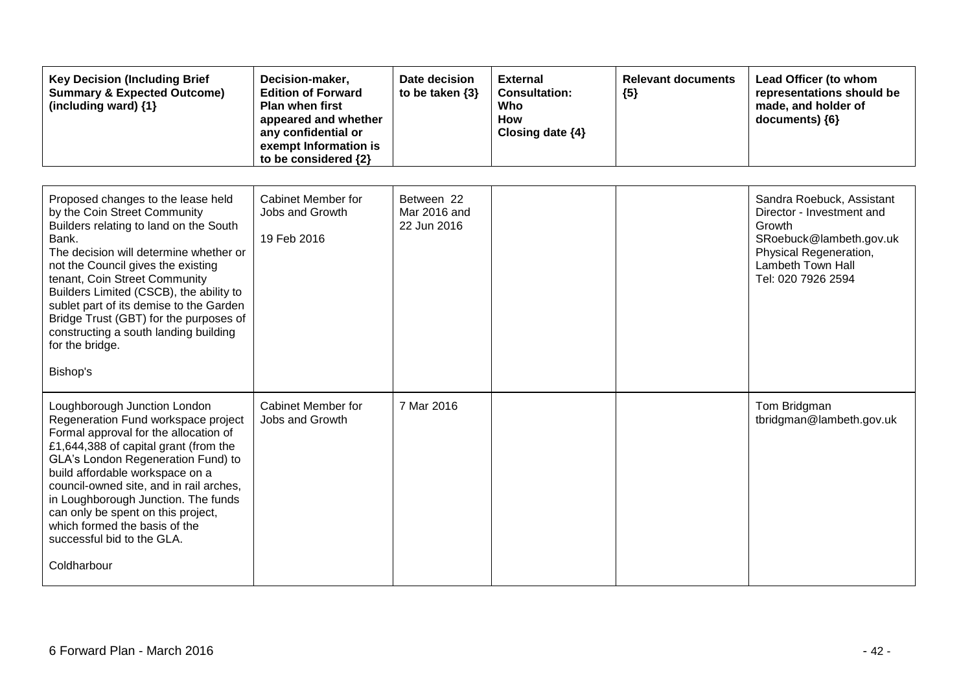| <b>Key Decision (Including Brief</b><br><b>Summary &amp; Expected Outcome)</b><br>(including ward) {1}                                                                                                                                                                                                                                                                                                                                         | Decision-maker,<br><b>Edition of Forward</b><br><b>Plan when first</b><br>appeared and whether<br>any confidential or<br>exempt Information is<br>to be considered {2} | Date decision<br>to be taken $\{3\}$      | <b>External</b><br><b>Consultation:</b><br>Who<br>How<br>Closing date {4} | <b>Relevant documents</b><br>${5}$ | Lead Officer (to whom<br>representations should be<br>made, and holder of<br>documents) {6}                                                                      |
|------------------------------------------------------------------------------------------------------------------------------------------------------------------------------------------------------------------------------------------------------------------------------------------------------------------------------------------------------------------------------------------------------------------------------------------------|------------------------------------------------------------------------------------------------------------------------------------------------------------------------|-------------------------------------------|---------------------------------------------------------------------------|------------------------------------|------------------------------------------------------------------------------------------------------------------------------------------------------------------|
| Proposed changes to the lease held<br>by the Coin Street Community<br>Builders relating to land on the South<br>Bank.<br>The decision will determine whether or<br>not the Council gives the existing<br>tenant, Coin Street Community<br>Builders Limited (CSCB), the ability to<br>sublet part of its demise to the Garden<br>Bridge Trust (GBT) for the purposes of<br>constructing a south landing building<br>for the bridge.<br>Bishop's | Cabinet Member for<br>Jobs and Growth<br>19 Feb 2016                                                                                                                   | Between 22<br>Mar 2016 and<br>22 Jun 2016 |                                                                           |                                    | Sandra Roebuck, Assistant<br>Director - Investment and<br>Growth<br>SRoebuck@lambeth.gov.uk<br>Physical Regeneration,<br>Lambeth Town Hall<br>Tel: 020 7926 2594 |
| Loughborough Junction London<br>Regeneration Fund workspace project<br>Formal approval for the allocation of<br>£1,644,388 of capital grant (from the<br>GLA's London Regeneration Fund) to<br>build affordable workspace on a<br>council-owned site, and in rail arches,<br>in Loughborough Junction. The funds<br>can only be spent on this project,<br>which formed the basis of the<br>successful bid to the GLA.<br>Coldharbour           | <b>Cabinet Member for</b><br>Jobs and Growth                                                                                                                           | 7 Mar 2016                                |                                                                           |                                    | Tom Bridgman<br>tbridgman@lambeth.gov.uk                                                                                                                         |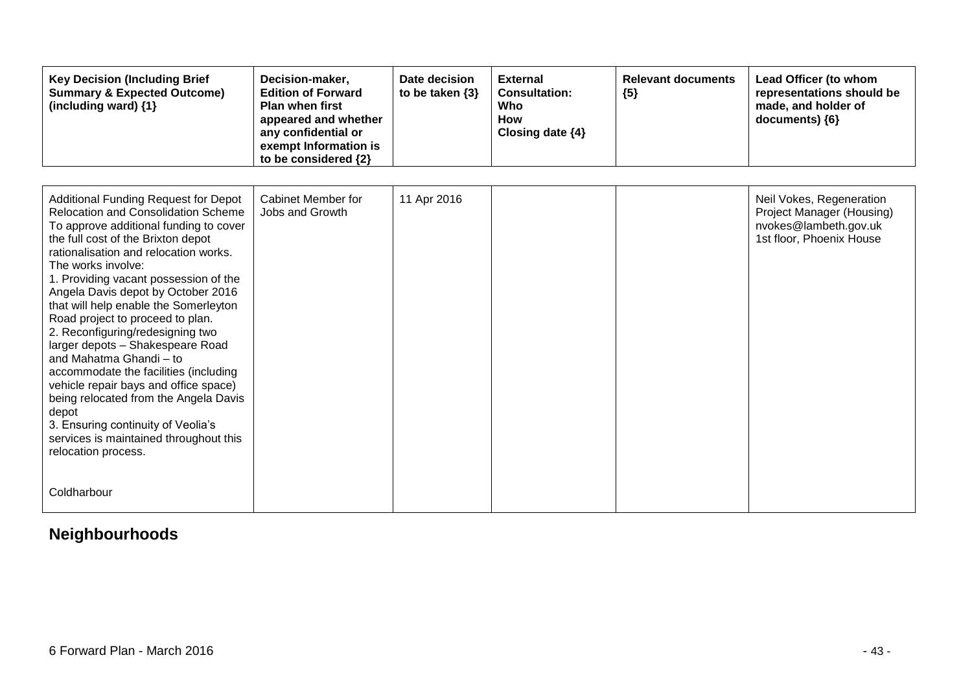| <b>Key Decision (Including Brief</b><br><b>Summary &amp; Expected Outcome)</b><br>(including ward) {1}                                                                                                                                                                                                                                                                                                                                                                                                                                                                                                                                                                                                                                             | Decision-maker,<br><b>Edition of Forward</b><br><b>Plan when first</b><br>appeared and whether<br>any confidential or<br>exempt Information is<br>to be considered {2} | Date decision<br>to be taken $\{3\}$ | <b>External</b><br><b>Consultation:</b><br>Who<br>How<br>Closing date {4} | <b>Relevant documents</b><br>${5}$ | Lead Officer (to whom<br>representations should be<br>made, and holder of<br>documents) ${6}$              |
|----------------------------------------------------------------------------------------------------------------------------------------------------------------------------------------------------------------------------------------------------------------------------------------------------------------------------------------------------------------------------------------------------------------------------------------------------------------------------------------------------------------------------------------------------------------------------------------------------------------------------------------------------------------------------------------------------------------------------------------------------|------------------------------------------------------------------------------------------------------------------------------------------------------------------------|--------------------------------------|---------------------------------------------------------------------------|------------------------------------|------------------------------------------------------------------------------------------------------------|
|                                                                                                                                                                                                                                                                                                                                                                                                                                                                                                                                                                                                                                                                                                                                                    |                                                                                                                                                                        |                                      |                                                                           |                                    |                                                                                                            |
| <b>Additional Funding Request for Depot</b><br><b>Relocation and Consolidation Scheme</b><br>To approve additional funding to cover<br>the full cost of the Brixton depot<br>rationalisation and relocation works.<br>The works involve:<br>1. Providing vacant possession of the<br>Angela Davis depot by October 2016<br>that will help enable the Somerleyton<br>Road project to proceed to plan.<br>2. Reconfiguring/redesigning two<br>larger depots - Shakespeare Road<br>and Mahatma Ghandi - to<br>accommodate the facilities (including<br>vehicle repair bays and office space)<br>being relocated from the Angela Davis<br>depot<br>3. Ensuring continuity of Veolia's<br>services is maintained throughout this<br>relocation process. | Cabinet Member for<br>Jobs and Growth                                                                                                                                  | 11 Apr 2016                          |                                                                           |                                    | Neil Vokes, Regeneration<br>Project Manager (Housing)<br>nvokes@lambeth.gov.uk<br>1st floor, Phoenix House |
| Coldharbour                                                                                                                                                                                                                                                                                                                                                                                                                                                                                                                                                                                                                                                                                                                                        |                                                                                                                                                                        |                                      |                                                                           |                                    |                                                                                                            |

## **Neighbourhoods**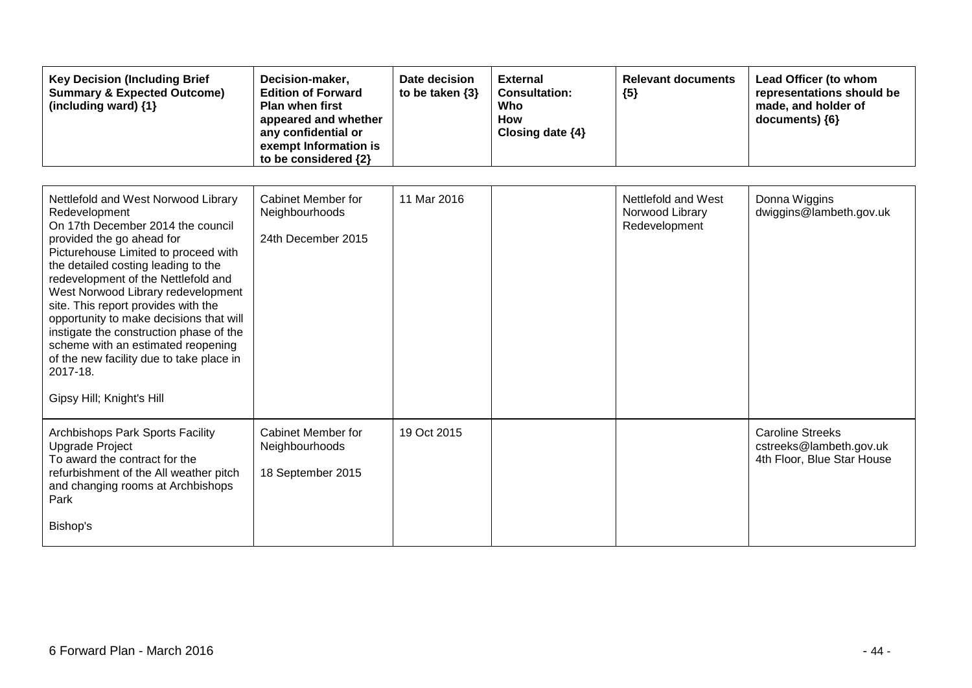| <b>Key Decision (Including Brief</b><br><b>Summary &amp; Expected Outcome)</b><br>(including ward) {1}                                                                                                                                                                                                                                                                                                                                                                                                                                     | Decision-maker,<br><b>Edition of Forward</b><br><b>Plan when first</b><br>appeared and whether<br>any confidential or<br>exempt Information is<br>to be considered {2} | Date decision<br>to be taken $\{3\}$ | <b>External</b><br><b>Consultation:</b><br>Who<br><b>How</b><br>Closing date {4} | <b>Relevant documents</b><br>${5}$                      | Lead Officer (to whom<br>representations should be<br>made, and holder of<br>documents) {6} |
|--------------------------------------------------------------------------------------------------------------------------------------------------------------------------------------------------------------------------------------------------------------------------------------------------------------------------------------------------------------------------------------------------------------------------------------------------------------------------------------------------------------------------------------------|------------------------------------------------------------------------------------------------------------------------------------------------------------------------|--------------------------------------|----------------------------------------------------------------------------------|---------------------------------------------------------|---------------------------------------------------------------------------------------------|
| Nettlefold and West Norwood Library<br>Redevelopment<br>On 17th December 2014 the council<br>provided the go ahead for<br>Picturehouse Limited to proceed with<br>the detailed costing leading to the<br>redevelopment of the Nettlefold and<br>West Norwood Library redevelopment<br>site. This report provides with the<br>opportunity to make decisions that will<br>instigate the construction phase of the<br>scheme with an estimated reopening<br>of the new facility due to take place in<br>2017-18.<br>Gipsy Hill; Knight's Hill | <b>Cabinet Member for</b><br>Neighbourhoods<br>24th December 2015                                                                                                      | 11 Mar 2016                          |                                                                                  | Nettlefold and West<br>Norwood Library<br>Redevelopment | Donna Wiggins<br>dwiggins@lambeth.gov.uk                                                    |
| Archbishops Park Sports Facility<br><b>Upgrade Project</b><br>To award the contract for the<br>refurbishment of the All weather pitch<br>and changing rooms at Archbishops<br>Park<br>Bishop's                                                                                                                                                                                                                                                                                                                                             | Cabinet Member for<br>Neighbourhoods<br>18 September 2015                                                                                                              | 19 Oct 2015                          |                                                                                  |                                                         | <b>Caroline Streeks</b><br>cstreeks@lambeth.gov.uk<br>4th Floor, Blue Star House            |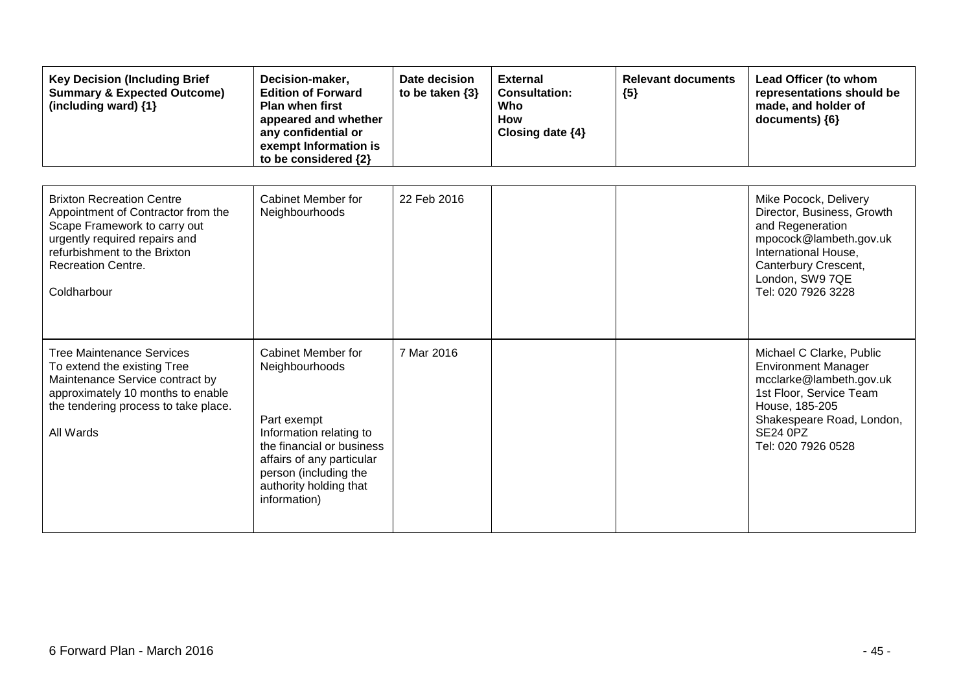| <b>Key Decision (Including Brief</b><br><b>Summary &amp; Expected Outcome)</b><br>(including ward) {1}                                                                                                              | Decision-maker,<br><b>Edition of Forward</b><br><b>Plan when first</b><br>appeared and whether<br>any confidential or<br>exempt Information is<br>to be considered {2}                                      | Date decision<br>to be taken $\{3\}$ | <b>External</b><br><b>Consultation:</b><br>Who<br>How<br>Closing date $\{4\}$ | <b>Relevant documents</b><br>${5}$ | Lead Officer (to whom<br>representations should be<br>made, and holder of<br>documents) {6}                                                                                                          |
|---------------------------------------------------------------------------------------------------------------------------------------------------------------------------------------------------------------------|-------------------------------------------------------------------------------------------------------------------------------------------------------------------------------------------------------------|--------------------------------------|-------------------------------------------------------------------------------|------------------------------------|------------------------------------------------------------------------------------------------------------------------------------------------------------------------------------------------------|
| <b>Brixton Recreation Centre</b><br>Appointment of Contractor from the<br>Scape Framework to carry out<br>urgently required repairs and<br>refurbishment to the Brixton<br><b>Recreation Centre.</b><br>Coldharbour | Cabinet Member for<br>Neighbourhoods                                                                                                                                                                        | 22 Feb 2016                          |                                                                               |                                    | Mike Pocock, Delivery<br>Director, Business, Growth<br>and Regeneration<br>mpocock@lambeth.gov.uk<br>International House,<br>Canterbury Crescent,<br>London, SW9 7QE<br>Tel: 020 7926 3228           |
| <b>Tree Maintenance Services</b><br>To extend the existing Tree<br>Maintenance Service contract by<br>approximately 10 months to enable<br>the tendering process to take place.<br>All Wards                        | Cabinet Member for<br>Neighbourhoods<br>Part exempt<br>Information relating to<br>the financial or business<br>affairs of any particular<br>person (including the<br>authority holding that<br>information) | 7 Mar 2016                           |                                                                               |                                    | Michael C Clarke, Public<br><b>Environment Manager</b><br>mcclarke@lambeth.gov.uk<br>1st Floor, Service Team<br>House, 185-205<br>Shakespeare Road, London,<br><b>SE24 0PZ</b><br>Tel: 020 7926 0528 |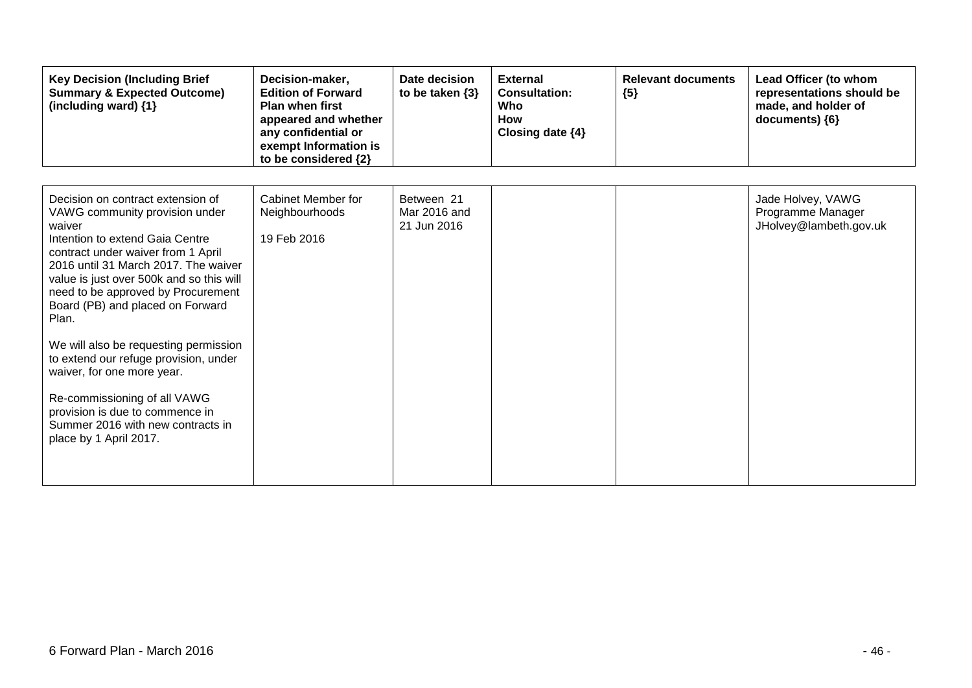| <b>Key Decision (Including Brief</b><br><b>Summary &amp; Expected Outcome)</b><br>(including ward) {1}                                                                                                                                                                                                                                                                                                                                                                                                                                                                          | Decision-maker,<br><b>Edition of Forward</b><br><b>Plan when first</b><br>appeared and whether<br>any confidential or<br>exempt Information is<br>to be considered {2} | Date decision<br>to be taken $\{3\}$      | <b>External</b><br><b>Consultation:</b><br>Who<br><b>How</b><br>Closing date $\{4\}$ | <b>Relevant documents</b><br>${5}$ | Lead Officer (to whom<br>representations should be<br>made, and holder of<br>documents) {6} |
|---------------------------------------------------------------------------------------------------------------------------------------------------------------------------------------------------------------------------------------------------------------------------------------------------------------------------------------------------------------------------------------------------------------------------------------------------------------------------------------------------------------------------------------------------------------------------------|------------------------------------------------------------------------------------------------------------------------------------------------------------------------|-------------------------------------------|--------------------------------------------------------------------------------------|------------------------------------|---------------------------------------------------------------------------------------------|
| Decision on contract extension of<br>VAWG community provision under<br>waiver<br>Intention to extend Gaia Centre<br>contract under waiver from 1 April<br>2016 until 31 March 2017. The waiver<br>value is just over 500k and so this will<br>need to be approved by Procurement<br>Board (PB) and placed on Forward<br>Plan.<br>We will also be requesting permission<br>to extend our refuge provision, under<br>waiver, for one more year.<br>Re-commissioning of all VAWG<br>provision is due to commence in<br>Summer 2016 with new contracts in<br>place by 1 April 2017. | <b>Cabinet Member for</b><br>Neighbourhoods<br>19 Feb 2016                                                                                                             | Between 21<br>Mar 2016 and<br>21 Jun 2016 |                                                                                      |                                    | Jade Holvey, VAWG<br>Programme Manager<br>JHolvey@lambeth.gov.uk                            |